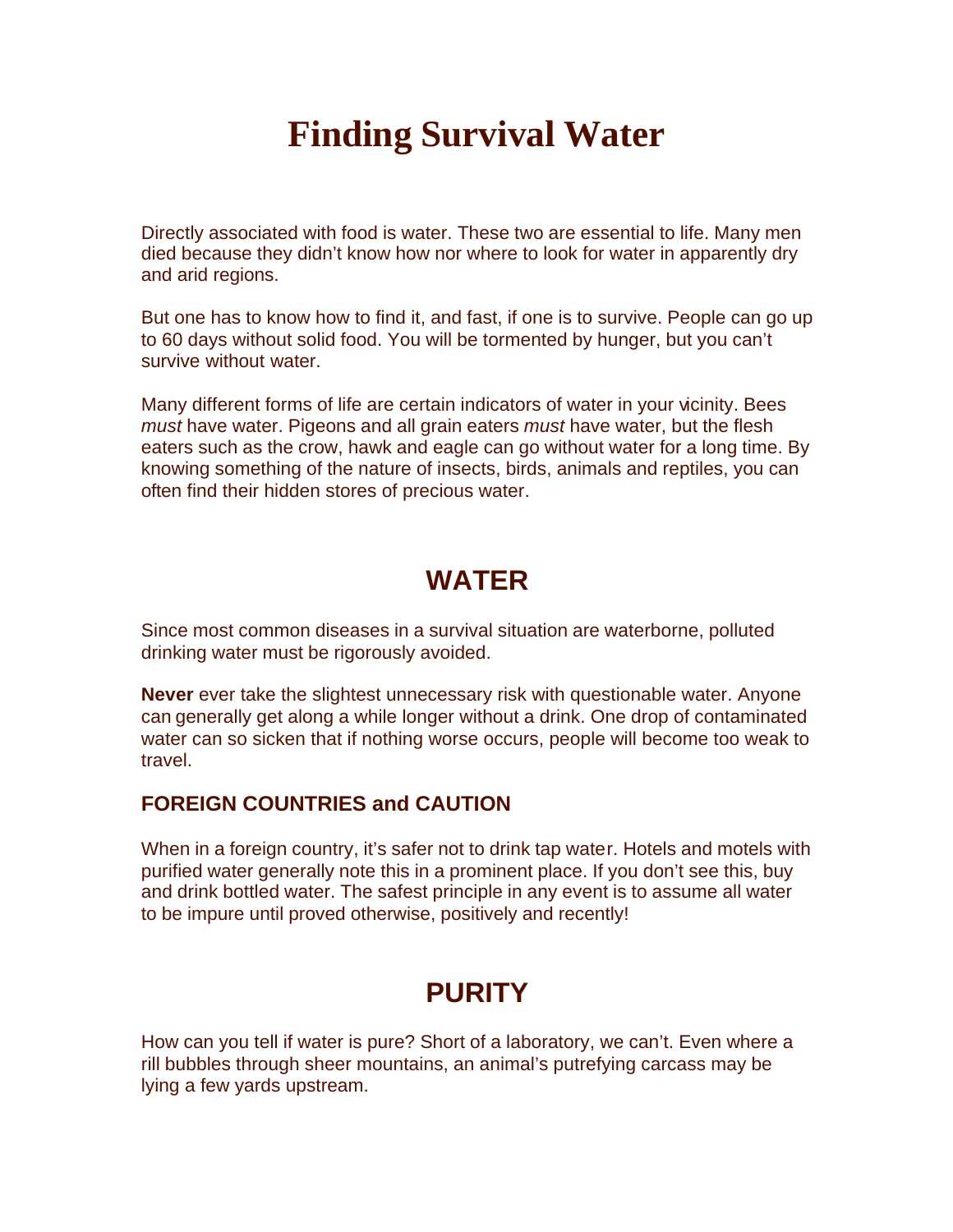# **Finding Survival Water**

Directly associated with food is water. These two are essential to life. Many men died because they didn't know how nor where to look for water in apparently dry and arid regions.

But one has to know how to find it, and fast, if one is to survive. People can go up to 60 days without solid food. You will be tormented by hunger, but you can't survive without water.

Many different forms of life are certain indicators of water in your vicinity. Bees *must* have water. Pigeons and all grain eaters *must* have water, but the flesh eaters such as the crow, hawk and eagle can go without water for a long time. By knowing something of the nature of insects, birds, animals and reptiles, you can often find their hidden stores of precious water.

## **WATER**

Since most common diseases in a survival situation are waterborne, polluted drinking water must be rigorously avoided.

**Never** ever take the slightest unnecessary risk with questionable water. Anyone can generally get along a while longer without a drink. One drop of contaminated water can so sicken that if nothing worse occurs, people will become too weak to travel.

## **FOREIGN COUNTRIES and CAUTION**

When in a foreign country, it's safer not to drink tap water. Hotels and motels with purified water generally note this in a prominent place. If you don't see this, buy and drink bottled water. The safest principle in any event is to assume all water to be impure until proved otherwise, positively and recently!

# **PURITY**

How can you tell if water is pure? Short of a laboratory, we can't. Even where a rill bubbles through sheer mountains, an animal's putrefying carcass may be lying a few yards upstream.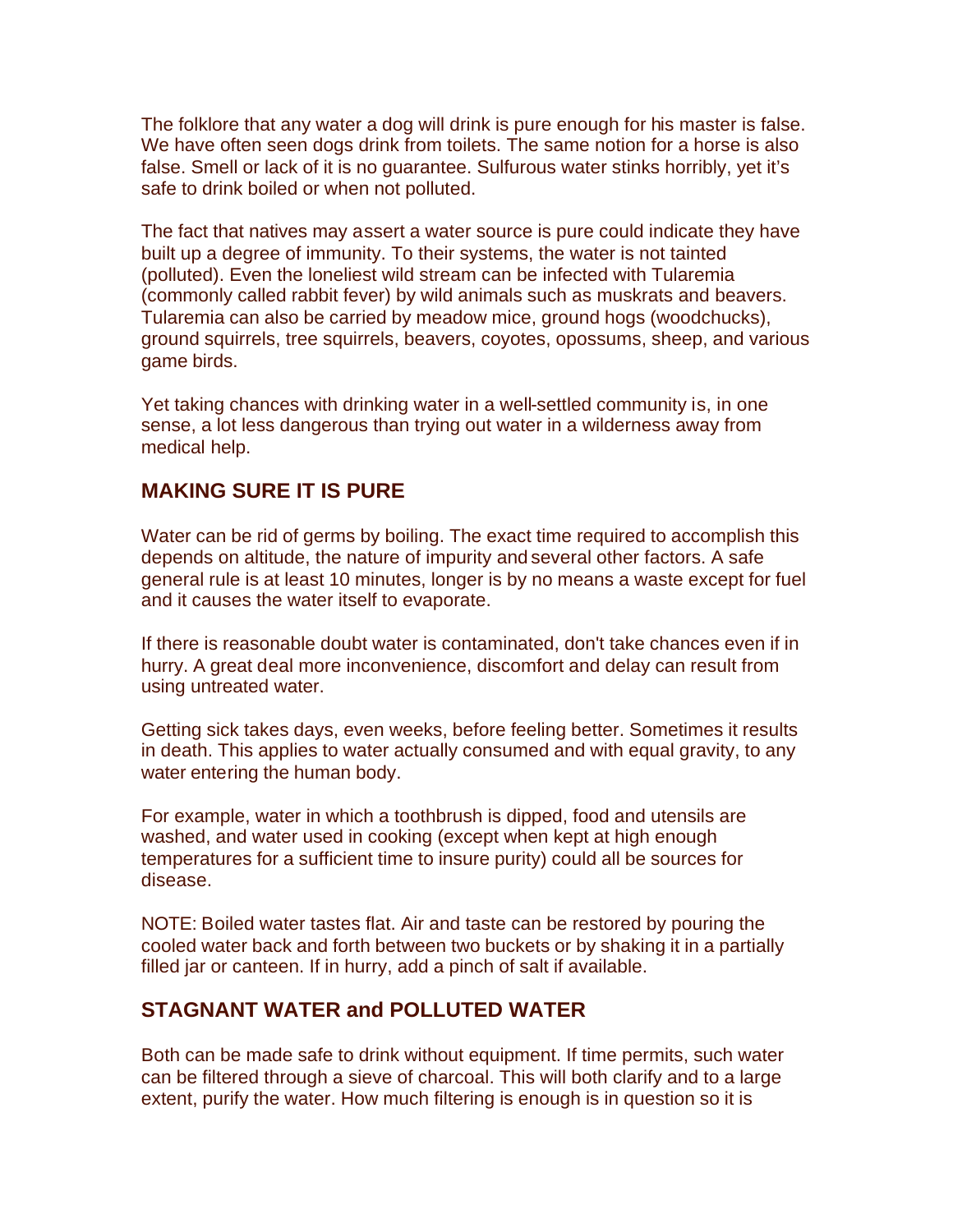The folklore that any water a dog will drink is pure enough for his master is false. We have often seen dogs drink from toilets. The same notion for a horse is also false. Smell or lack of it is no guarantee. Sulfurous water stinks horribly, yet it's safe to drink boiled or when not polluted.

The fact that natives may assert a water source is pure could indicate they have built up a degree of immunity. To their systems, the water is not tainted (polluted). Even the loneliest wild stream can be infected with Tularemia (commonly called rabbit fever) by wild animals such as muskrats and beavers. Tularemia can also be carried by meadow mice, ground hogs (woodchucks), ground squirrels, tree squirrels, beavers, coyotes, opossums, sheep, and various game birds.

Yet taking chances with drinking water in a well-settled community is, in one sense, a lot less dangerous than trying out water in a wilderness away from medical help.

#### **MAKING SURE IT IS PURE**

Water can be rid of germs by boiling. The exact time required to accomplish this depends on altitude, the nature of impurity and several other factors. A safe general rule is at least 10 minutes, longer is by no means a waste except for fuel and it causes the water itself to evaporate.

If there is reasonable doubt water is contaminated, don't take chances even if in hurry. A great deal more inconvenience, discomfort and delay can result from using untreated water.

Getting sick takes days, even weeks, before feeling better. Sometimes it results in death. This applies to water actually consumed and with equal gravity, to any water entering the human body.

For example, water in which a toothbrush is dipped, food and utensils are washed, and water used in cooking (except when kept at high enough temperatures for a sufficient time to insure purity) could all be sources for disease.

NOTE: Boiled water tastes flat. Air and taste can be restored by pouring the cooled water back and forth between two buckets or by shaking it in a partially filled jar or canteen. If in hurry, add a pinch of salt if available.

#### **STAGNANT WATER and POLLUTED WATER**

Both can be made safe to drink without equipment. If time permits, such water can be filtered through a sieve of charcoal. This will both clarify and to a large extent, purify the water. How much filtering is enough is in question so it is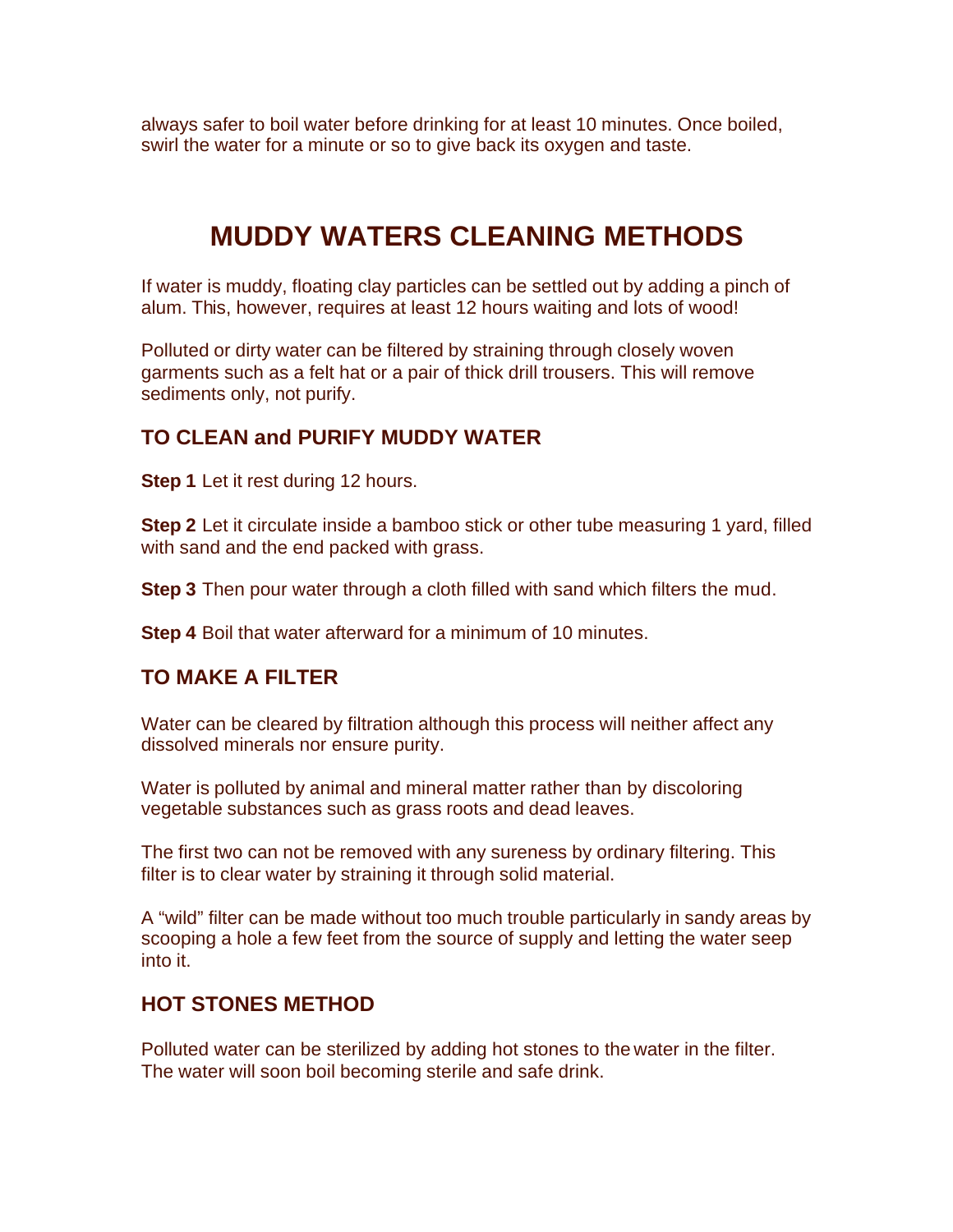always safer to boil water before drinking for at least 10 minutes. Once boiled, swirl the water for a minute or so to give back its oxygen and taste.

## **MUDDY WATERS CLEANING METHODS**

If water is muddy, floating clay particles can be settled out by adding a pinch of alum. This, however, requires at least 12 hours waiting and lots of wood!

Polluted or dirty water can be filtered by straining through closely woven garments such as a felt hat or a pair of thick drill trousers. This will remove sediments only, not purify.

#### **TO CLEAN and PURIFY MUDDY WATER**

**Step 1** Let it rest during 12 hours.

**Step 2** Let it circulate inside a bamboo stick or other tube measuring 1 yard, filled with sand and the end packed with grass.

**Step 3** Then pour water through a cloth filled with sand which filters the mud.

**Step 4** Boil that water afterward for a minimum of 10 minutes.

## **TO MAKE A FILTER**

Water can be cleared by filtration although this process will neither affect any dissolved minerals nor ensure purity.

Water is polluted by animal and mineral matter rather than by discoloring vegetable substances such as grass roots and dead leaves.

The first two can not be removed with any sureness by ordinary filtering. This filter is to clear water by straining it through solid material.

A "wild" filter can be made without too much trouble particularly in sandy areas by scooping a hole a few feet from the source of supply and letting the water seep into it.

#### **HOT STONES METHOD**

Polluted water can be sterilized by adding hot stones to the water in the filter. The water will soon boil becoming sterile and safe drink.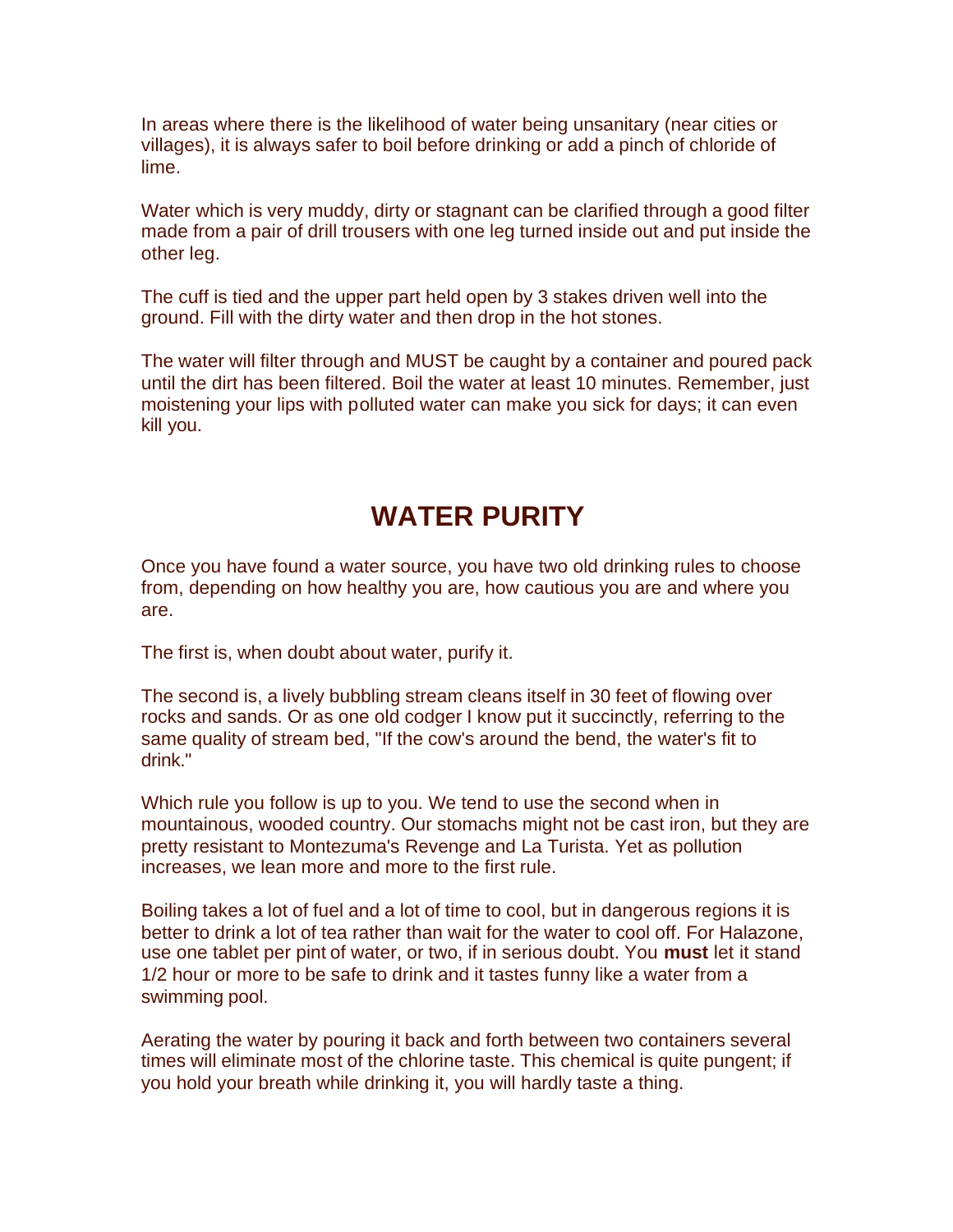In areas where there is the likelihood of water being unsanitary (near cities or villages), it is always safer to boil before drinking or add a pinch of chloride of lime.

Water which is very muddy, dirty or stagnant can be clarified through a good filter made from a pair of drill trousers with one leg turned inside out and put inside the other leg.

The cuff is tied and the upper part held open by 3 stakes driven well into the ground. Fill with the dirty water and then drop in the hot stones.

The water will filter through and MUST be caught by a container and poured pack until the dirt has been filtered. Boil the water at least 10 minutes. Remember, just moistening your lips with polluted water can make you sick for days; it can even kill you.

# **WATER PURITY**

Once you have found a water source, you have two old drinking rules to choose from, depending on how healthy you are, how cautious you are and where you are.

The first is, when doubt about water, purify it.

The second is, a lively bubbling stream cleans itself in 30 feet of flowing over rocks and sands. Or as one old codger I know put it succinctly, referring to the same quality of stream bed, "If the cow's around the bend, the water's fit to drink."

Which rule you follow is up to you. We tend to use the second when in mountainous, wooded country. Our stomachs might not be cast iron, but they are pretty resistant to Montezuma's Revenge and La Turista. Yet as pollution increases, we lean more and more to the first rule.

Boiling takes a lot of fuel and a lot of time to cool, but in dangerous regions it is better to drink a lot of tea rather than wait for the water to cool off. For Halazone, use one tablet per pint of water, or two, if in serious doubt. You **must** let it stand 1/2 hour or more to be safe to drink and it tastes funny like a water from a swimming pool.

Aerating the water by pouring it back and forth between two containers several times will eliminate most of the chlorine taste. This chemical is quite pungent; if you hold your breath while drinking it, you will hardly taste a thing.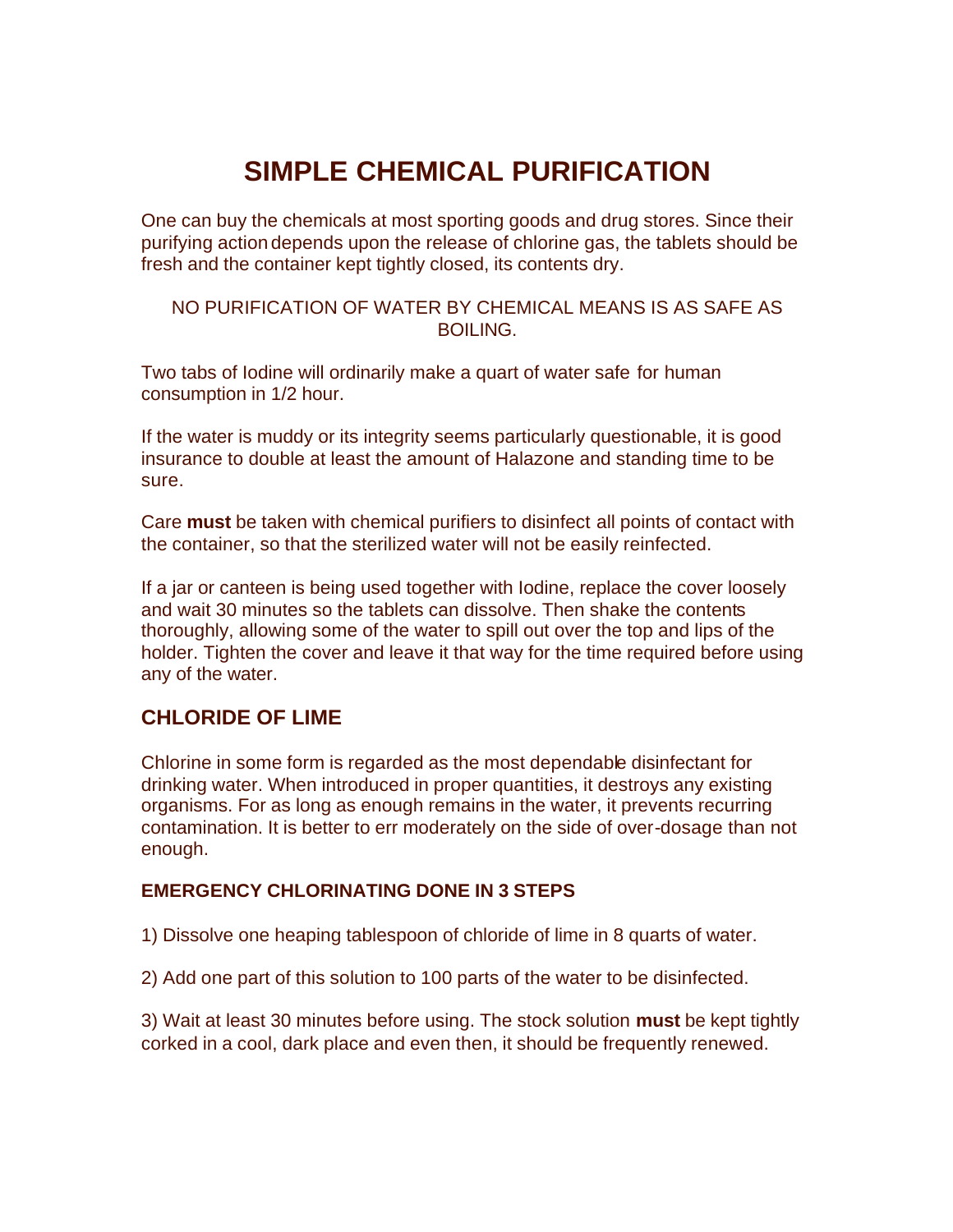# **SIMPLE CHEMICAL PURIFICATION**

One can buy the chemicals at most sporting goods and drug stores. Since their purifying action depends upon the release of chlorine gas, the tablets should be fresh and the container kept tightly closed, its contents dry.

#### NO PURIFICATION OF WATER BY CHEMICAL MEANS IS AS SAFE AS BOILING.

Two tabs of Iodine will ordinarily make a quart of water safe for human consumption in 1/2 hour.

If the water is muddy or its integrity seems particularly questionable, it is good insurance to double at least the amount of Halazone and standing time to be sure.

Care **must** be taken with chemical purifiers to disinfect all points of contact with the container, so that the sterilized water will not be easily reinfected.

If a jar or canteen is being used together with Iodine, replace the cover loosely and wait 30 minutes so the tablets can dissolve. Then shake the contents thoroughly, allowing some of the water to spill out over the top and lips of the holder. Tighten the cover and leave it that way for the time required before using any of the water.

## **CHLORIDE OF LIME**

Chlorine in some form is regarded as the most dependable disinfectant for drinking water. When introduced in proper quantities, it destroys any existing organisms. For as long as enough remains in the water, it prevents recurring contamination. It is better to err moderately on the side of over-dosage than not enough.

#### **EMERGENCY CHLORINATING DONE IN 3 STEPS**

1) Dissolve one heaping tablespoon of chloride of lime in 8 quarts of water.

2) Add one part of this solution to 100 parts of the water to be disinfected.

3) Wait at least 30 minutes before using. The stock solution **must** be kept tightly corked in a cool, dark place and even then, it should be frequently renewed.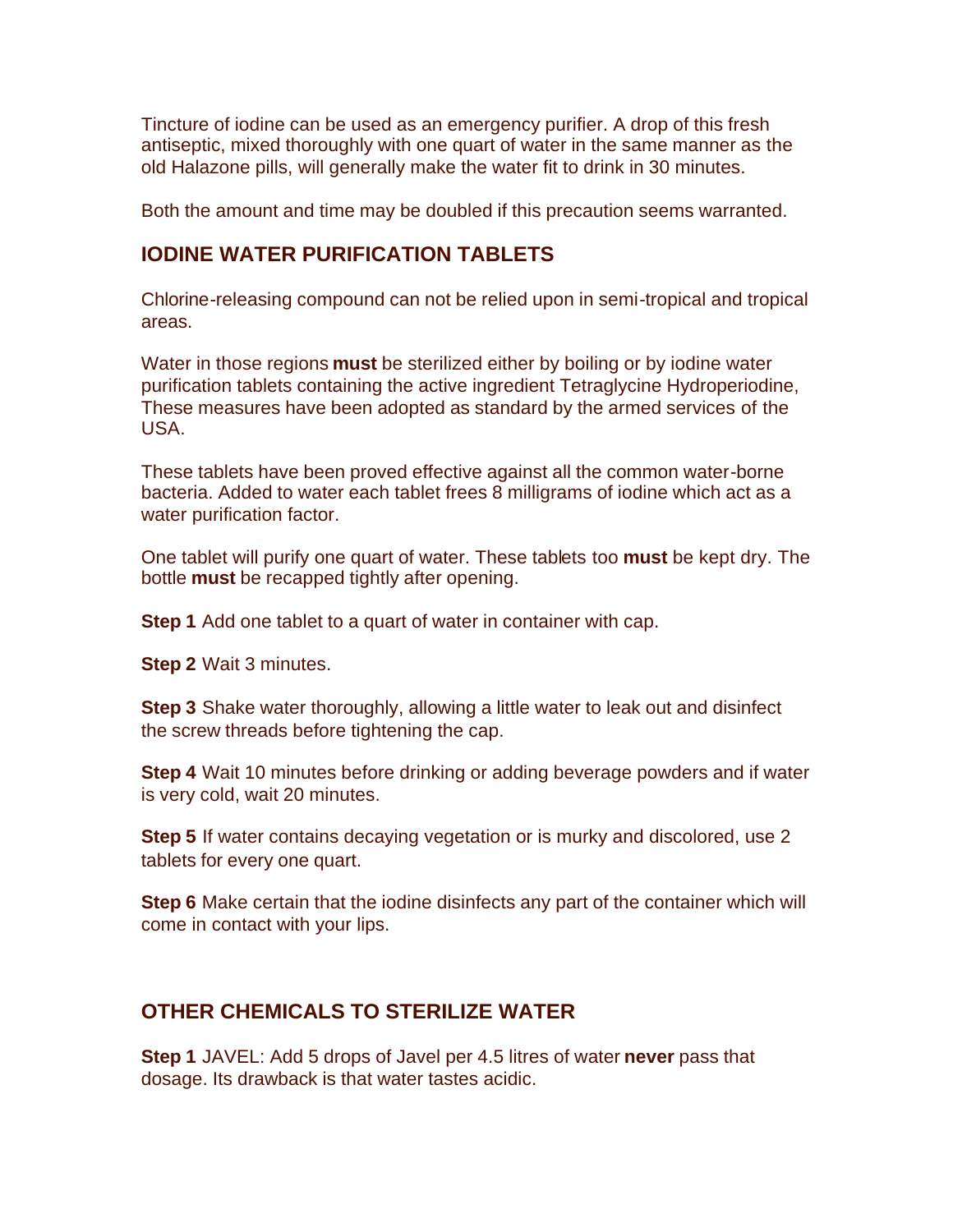Tincture of iodine can be used as an emergency purifier. A drop of this fresh antiseptic, mixed thoroughly with one quart of water in the same manner as the old Halazone pills, will generally make the water fit to drink in 30 minutes.

Both the amount and time may be doubled if this precaution seems warranted.

## **IODINE WATER PURIFICATION TABLETS**

Chlorine-releasing compound can not be relied upon in semi-tropical and tropical areas.

Water in those regions **must** be sterilized either by boiling or by iodine water purification tablets containing the active ingredient Tetraglycine Hydroperiodine, These measures have been adopted as standard by the armed services of the USA.

These tablets have been proved effective against all the common water-borne bacteria. Added to water each tablet frees 8 milligrams of iodine which act as a water purification factor.

One tablet will purify one quart of water. These tablets too **must** be kept dry. The bottle **must** be recapped tightly after opening.

**Step 1** Add one tablet to a quart of water in container with cap.

**Step 2** Wait 3 minutes.

**Step 3** Shake water thoroughly, allowing a little water to leak out and disinfect the screw threads before tightening the cap.

**Step 4** Wait 10 minutes before drinking or adding beverage powders and if water is very cold, wait 20 minutes.

**Step 5** If water contains decaying vegetation or is murky and discolored, use 2 tablets for every one quart.

**Step 6** Make certain that the iodine disinfects any part of the container which will come in contact with your lips.

## **OTHER CHEMICALS TO STERILIZE WATER**

**Step 1** JAVEL: Add 5 drops of Javel per 4.5 litres of water **never** pass that dosage. Its drawback is that water tastes acidic.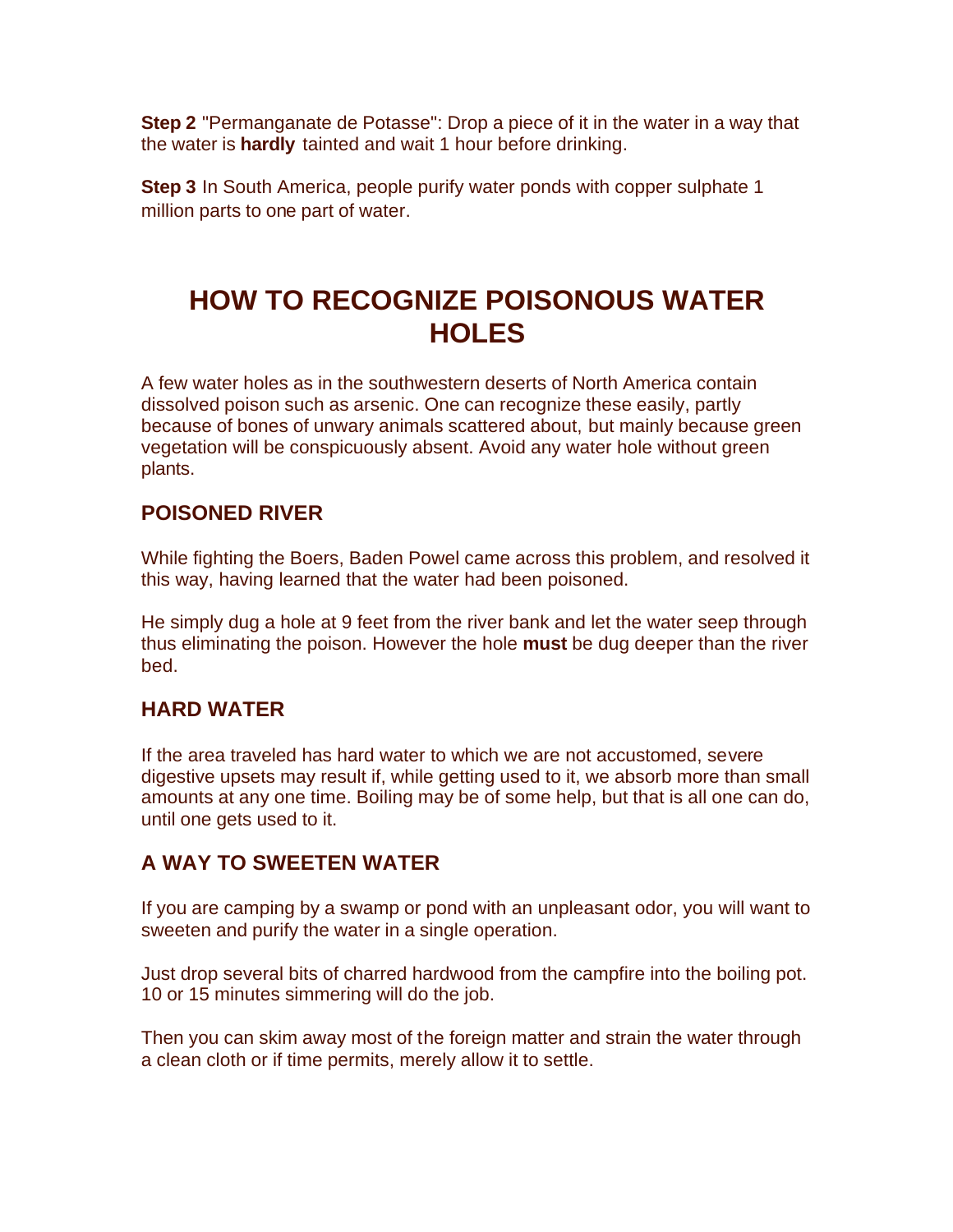**Step 2** "Permanganate de Potasse": Drop a piece of it in the water in a way that the water is **hardly** tainted and wait 1 hour before drinking.

**Step 3** In South America, people purify water ponds with copper sulphate 1 million parts to one part of water.

# **HOW TO RECOGNIZE POISONOUS WATER HOLES**

A few water holes as in the southwestern deserts of North America contain dissolved poison such as arsenic. One can recognize these easily, partly because of bones of unwary animals scattered about, but mainly because green vegetation will be conspicuously absent. Avoid any water hole without green plants.

#### **POISONED RIVER**

While fighting the Boers, Baden Powel came across this problem, and resolved it this way, having learned that the water had been poisoned.

He simply dug a hole at 9 feet from the river bank and let the water seep through thus eliminating the poison. However the hole **must** be dug deeper than the river bed.

## **HARD WATER**

If the area traveled has hard water to which we are not accustomed, severe digestive upsets may result if, while getting used to it, we absorb more than small amounts at any one time. Boiling may be of some help, but that is all one can do, until one gets used to it.

## **A WAY TO SWEETEN WATER**

If you are camping by a swamp or pond with an unpleasant odor, you will want to sweeten and purify the water in a single operation.

Just drop several bits of charred hardwood from the campfire into the boiling pot. 10 or 15 minutes simmering will do the job.

Then you can skim away most of the foreign matter and strain the water through a clean cloth or if time permits, merely allow it to settle.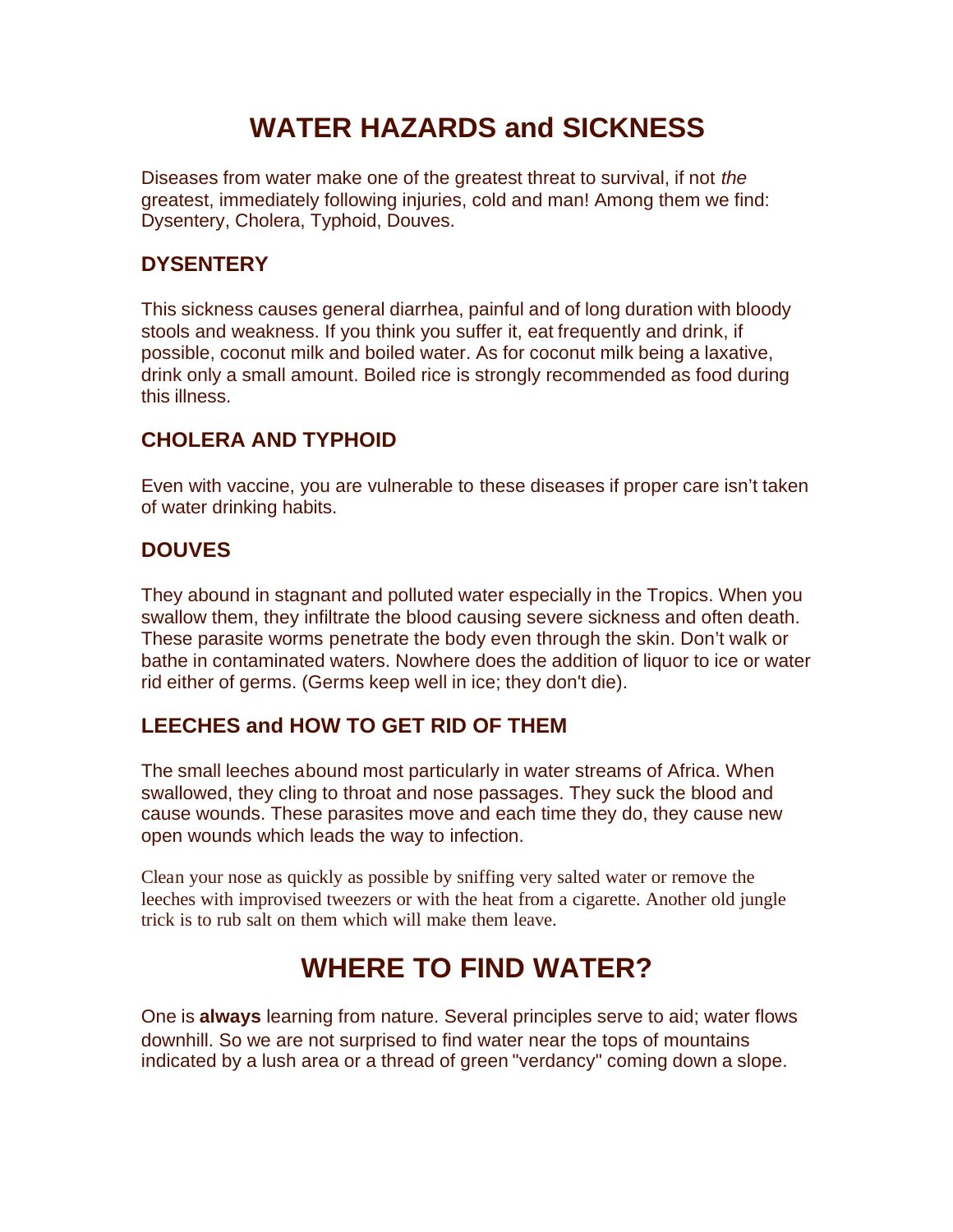# **WATER HAZARDS and SICKNESS**

Diseases from water make one of the greatest threat to survival, if not *the* greatest, immediately following injuries, cold and man! Among them we find: Dysentery, Cholera, Typhoid, Douves.

## **DYSENTERY**

This sickness causes general diarrhea, painful and of long duration with bloody stools and weakness. If you think you suffer it, eat frequently and drink, if possible, coconut milk and boiled water. As for coconut milk being a laxative, drink only a small amount. Boiled rice is strongly recommended as food during this illness.

## **CHOLERA AND TYPHOID**

Even with vaccine, you are vulnerable to these diseases if proper care isn't taken of water drinking habits.

## **DOUVES**

They abound in stagnant and polluted water especially in the Tropics. When you swallow them, they infiltrate the blood causing severe sickness and often death. These parasite worms penetrate the body even through the skin. Don't walk or bathe in contaminated waters. Nowhere does the addition of liquor to ice or water rid either of germs. (Germs keep well in ice; they don't die).

## **LEECHES and HOW TO GET RID OF THEM**

The small leeches abound most particularly in water streams of Africa. When swallowed, they cling to throat and nose passages. They suck the blood and cause wounds. These parasites move and each time they do, they cause new open wounds which leads the way to infection.

Clean your nose as quickly as possible by sniffing very salted water or remove the leeches with improvised tweezers or with the heat from a cigarette. Another old jungle trick is to rub salt on them which will make them leave.

# **WHERE TO FIND WATER?**

One is **always** learning from nature. Several principles serve to aid; water flows downhill. So we are not surprised to find water near the tops of mountains indicated by a lush area or a thread of green "verdancy" coming down a slope.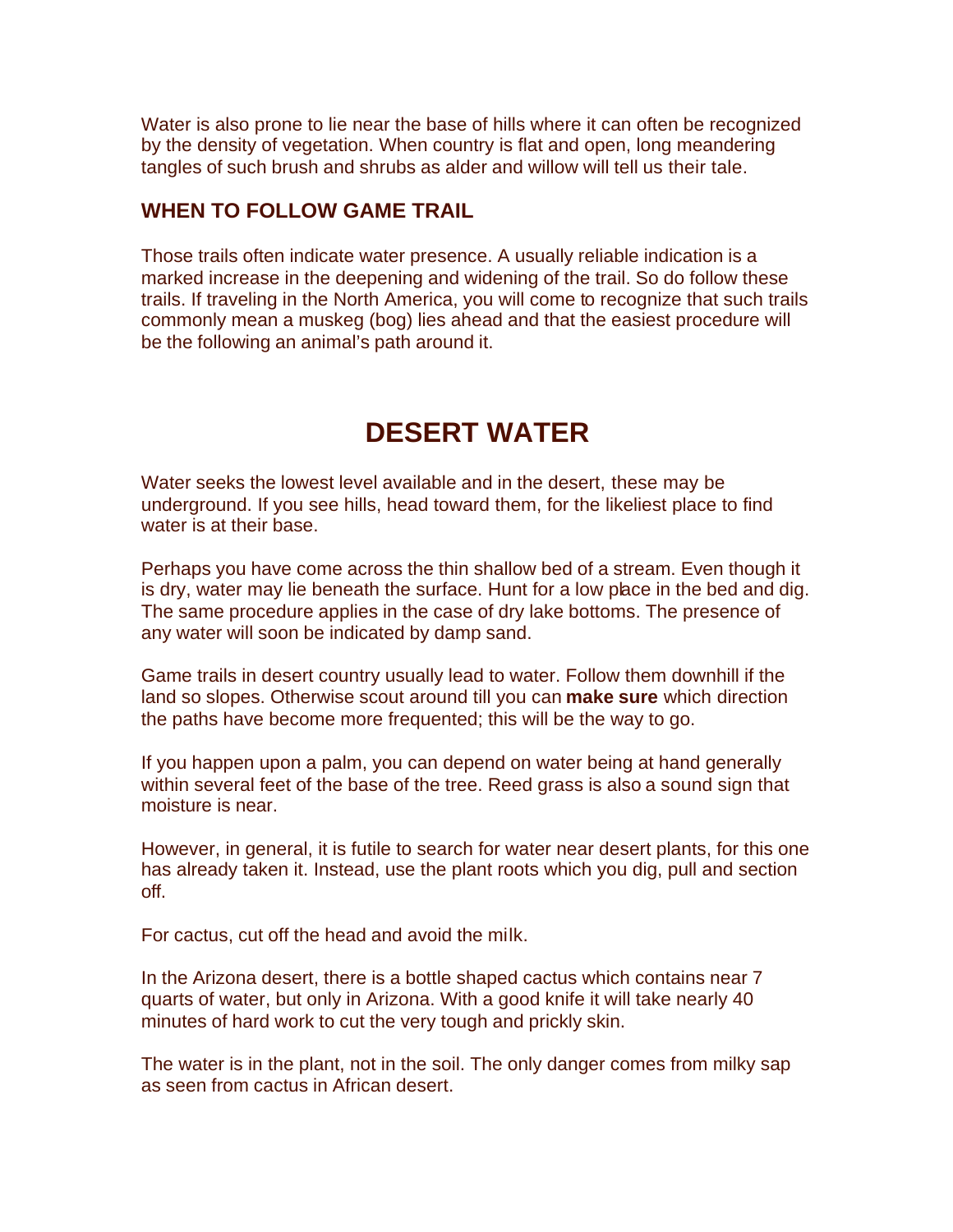Water is also prone to lie near the base of hills where it can often be recognized by the density of vegetation. When country is flat and open, long meandering tangles of such brush and shrubs as alder and willow will tell us their tale.

#### **WHEN TO FOLLOW GAME TRAIL**

Those trails often indicate water presence. A usually reliable indication is a marked increase in the deepening and widening of the trail. So do follow these trails. If traveling in the North America, you will come to recognize that such trails commonly mean a muskeg (bog) lies ahead and that the easiest procedure will be the following an animal's path around it.

## **DESERT WATER**

Water seeks the lowest level available and in the desert, these may be underground. If you see hills, head toward them, for the likeliest place to find water is at their base.

Perhaps you have come across the thin shallow bed of a stream. Even though it is dry, water may lie beneath the surface. Hunt for a low place in the bed and dig. The same procedure applies in the case of dry lake bottoms. The presence of any water will soon be indicated by damp sand.

Game trails in desert country usually lead to water. Follow them downhill if the land so slopes. Otherwise scout around till you can **make sure** which direction the paths have become more frequented; this will be the way to go.

If you happen upon a palm, you can depend on water being at hand generally within several feet of the base of the tree. Reed grass is also a sound sign that moisture is near.

However, in general, it is futile to search for water near desert plants, for this one has already taken it. Instead, use the plant roots which you dig, pull and section off.

For cactus, cut off the head and avoid the milk.

In the Arizona desert, there is a bottle shaped cactus which contains near 7 quarts of water, but only in Arizona. With a good knife it will take nearly 40 minutes of hard work to cut the very tough and prickly skin.

The water is in the plant, not in the soil. The only danger comes from milky sap as seen from cactus in African desert.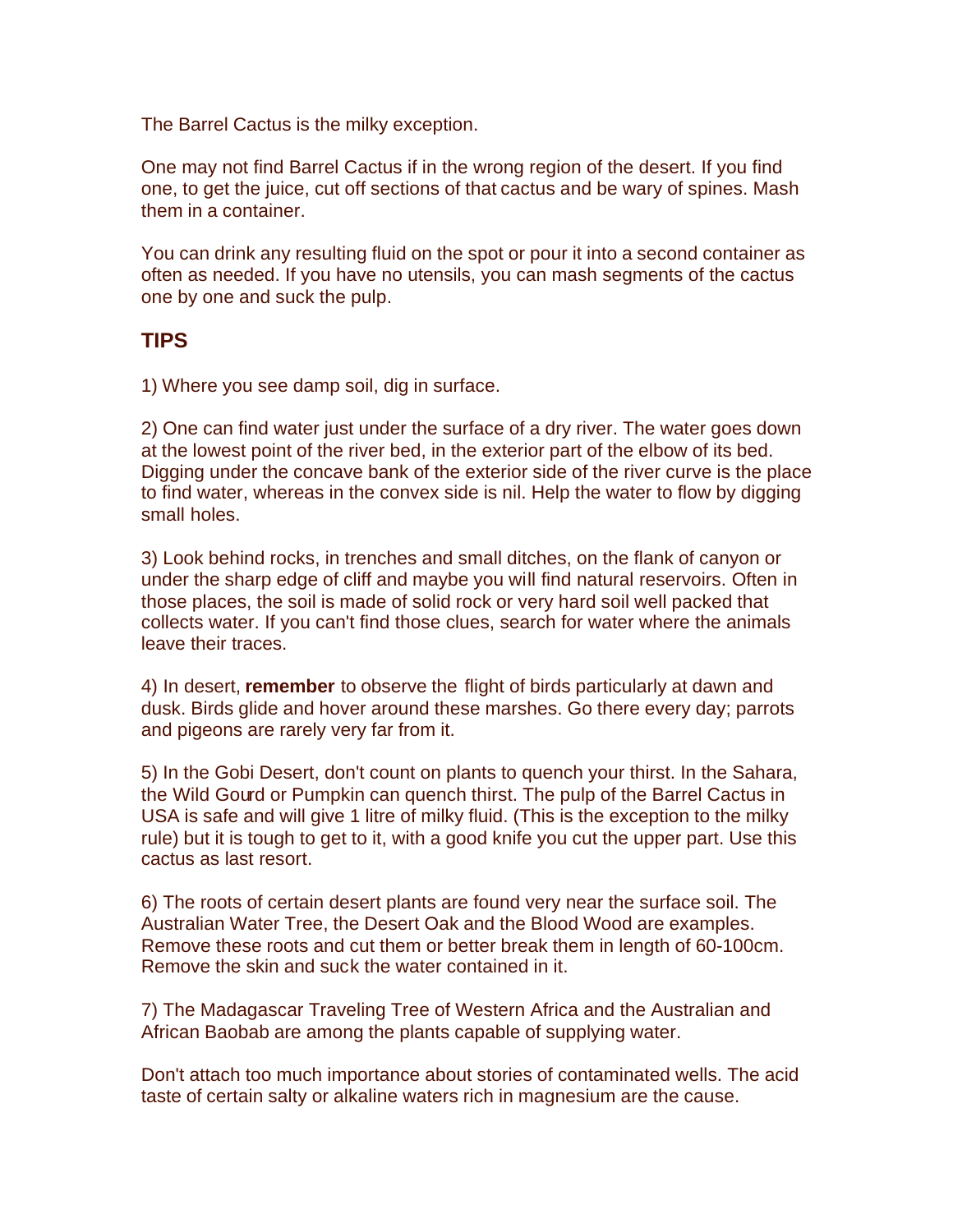The Barrel Cactus is the milky exception.

One may not find Barrel Cactus if in the wrong region of the desert. If you find one, to get the juice, cut off sections of that cactus and be wary of spines. Mash them in a container.

You can drink any resulting fluid on the spot or pour it into a second container as often as needed. If you have no utensils, you can mash segments of the cactus one by one and suck the pulp.

#### **TIPS**

1) Where you see damp soil, dig in surface.

2) One can find water just under the surface of a dry river. The water goes down at the lowest point of the river bed, in the exterior part of the elbow of its bed. Digging under the concave bank of the exterior side of the river curve is the place to find water, whereas in the convex side is nil. Help the water to flow by digging small holes.

3) Look behind rocks, in trenches and small ditches, on the flank of canyon or under the sharp edge of cliff and maybe you will find natural reservoirs. Often in those places, the soil is made of solid rock or very hard soil well packed that collects water. If you can't find those clues, search for water where the animals leave their traces.

4) In desert, **remember** to observe the flight of birds particularly at dawn and dusk. Birds glide and hover around these marshes. Go there every day; parrots and pigeons are rarely very far from it.

5) In the Gobi Desert, don't count on plants to quench your thirst. In the Sahara, the Wild Gourd or Pumpkin can quench thirst. The pulp of the Barrel Cactus in USA is safe and will give 1 litre of milky fluid. (This is the exception to the milky rule) but it is tough to get to it, with a good knife you cut the upper part. Use this cactus as last resort.

6) The roots of certain desert plants are found very near the surface soil. The Australian Water Tree, the Desert Oak and the Blood Wood are examples. Remove these roots and cut them or better break them in length of 60-100cm. Remove the skin and suck the water contained in it.

7) The Madagascar Traveling Tree of Western Africa and the Australian and African Baobab are among the plants capable of supplying water.

Don't attach too much importance about stories of contaminated wells. The acid taste of certain salty or alkaline waters rich in magnesium are the cause.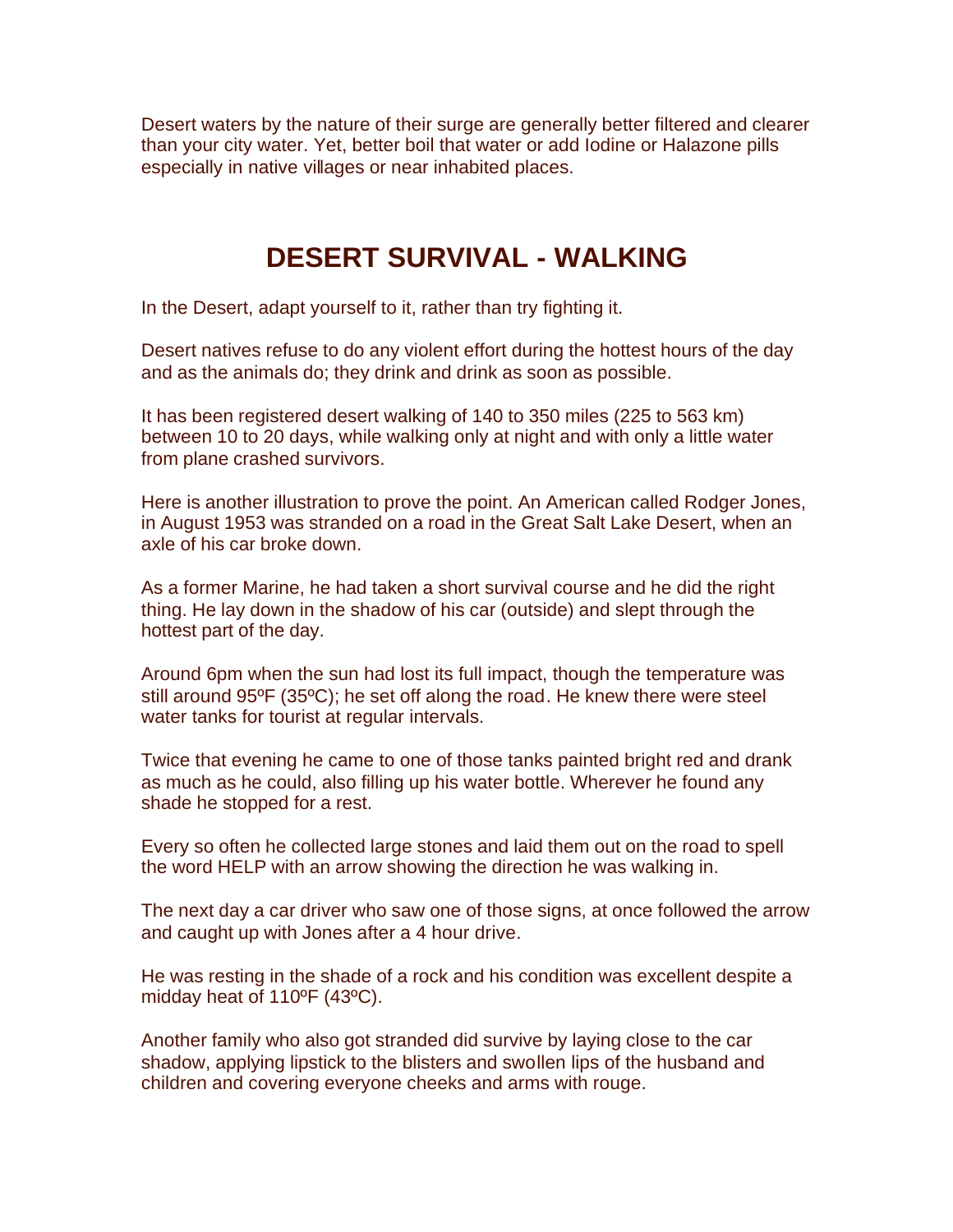Desert waters by the nature of their surge are generally better filtered and clearer than your city water. Yet, better boil that water or add Iodine or Halazone pills especially in native villages or near inhabited places.

## **DESERT SURVIVAL - WALKING**

In the Desert, adapt yourself to it, rather than try fighting it.

Desert natives refuse to do any violent effort during the hottest hours of the day and as the animals do; they drink and drink as soon as possible.

It has been registered desert walking of 140 to 350 miles (225 to 563 km) between 10 to 20 days, while walking only at night and with only a little water from plane crashed survivors.

Here is another illustration to prove the point. An American called Rodger Jones, in August 1953 was stranded on a road in the Great Salt Lake Desert, when an axle of his car broke down.

As a former Marine, he had taken a short survival course and he did the right thing. He lay down in the shadow of his car (outside) and slept through the hottest part of the day.

Around 6pm when the sun had lost its full impact, though the temperature was still around 95ºF (35ºC); he set off along the road. He knew there were steel water tanks for tourist at regular intervals.

Twice that evening he came to one of those tanks painted bright red and drank as much as he could, also filling up his water bottle. Wherever he found any shade he stopped for a rest.

Every so often he collected large stones and laid them out on the road to spell the word HELP with an arrow showing the direction he was walking in.

The next day a car driver who saw one of those signs, at once followed the arrow and caught up with Jones after a 4 hour drive.

He was resting in the shade of a rock and his condition was excellent despite a midday heat of 110ºF (43ºC).

Another family who also got stranded did survive by laying close to the car shadow, applying lipstick to the blisters and swollen lips of the husband and children and covering everyone cheeks and arms with rouge.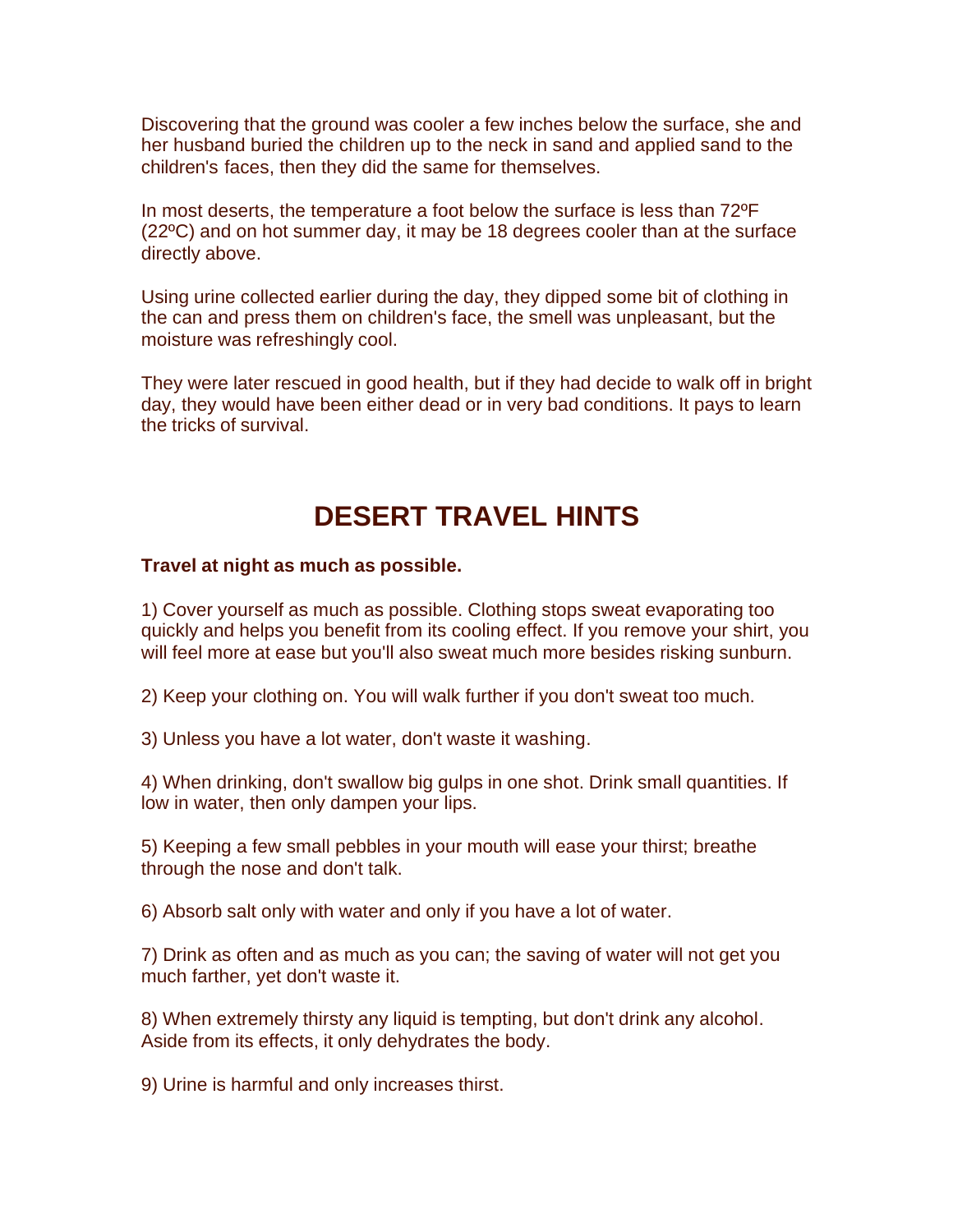Discovering that the ground was cooler a few inches below the surface, she and her husband buried the children up to the neck in sand and applied sand to the children's faces, then they did the same for themselves.

In most deserts, the temperature a foot below the surface is less than 72ºF (22ºC) and on hot summer day, it may be 18 degrees cooler than at the surface directly above.

Using urine collected earlier during the day, they dipped some bit of clothing in the can and press them on children's face, the smell was unpleasant, but the moisture was refreshingly cool.

They were later rescued in good health, but if they had decide to walk off in bright day, they would have been either dead or in very bad conditions. It pays to learn the tricks of survival.

# **DESERT TRAVEL HINTS**

#### **Travel at night as much as possible.**

1) Cover yourself as much as possible. Clothing stops sweat evaporating too quickly and helps you benefit from its cooling effect. If you remove your shirt, you will feel more at ease but you'll also sweat much more besides risking sunburn.

2) Keep your clothing on. You will walk further if you don't sweat too much.

3) Unless you have a lot water, don't waste it washing.

4) When drinking, don't swallow big gulps in one shot. Drink small quantities. If low in water, then only dampen your lips.

5) Keeping a few small pebbles in your mouth will ease your thirst; breathe through the nose and don't talk.

6) Absorb salt only with water and only if you have a lot of water.

7) Drink as often and as much as you can; the saving of water will not get you much farther, yet don't waste it.

8) When extremely thirsty any liquid is tempting, but don't drink any alcohol. Aside from its effects, it only dehydrates the body.

9) Urine is harmful and only increases thirst.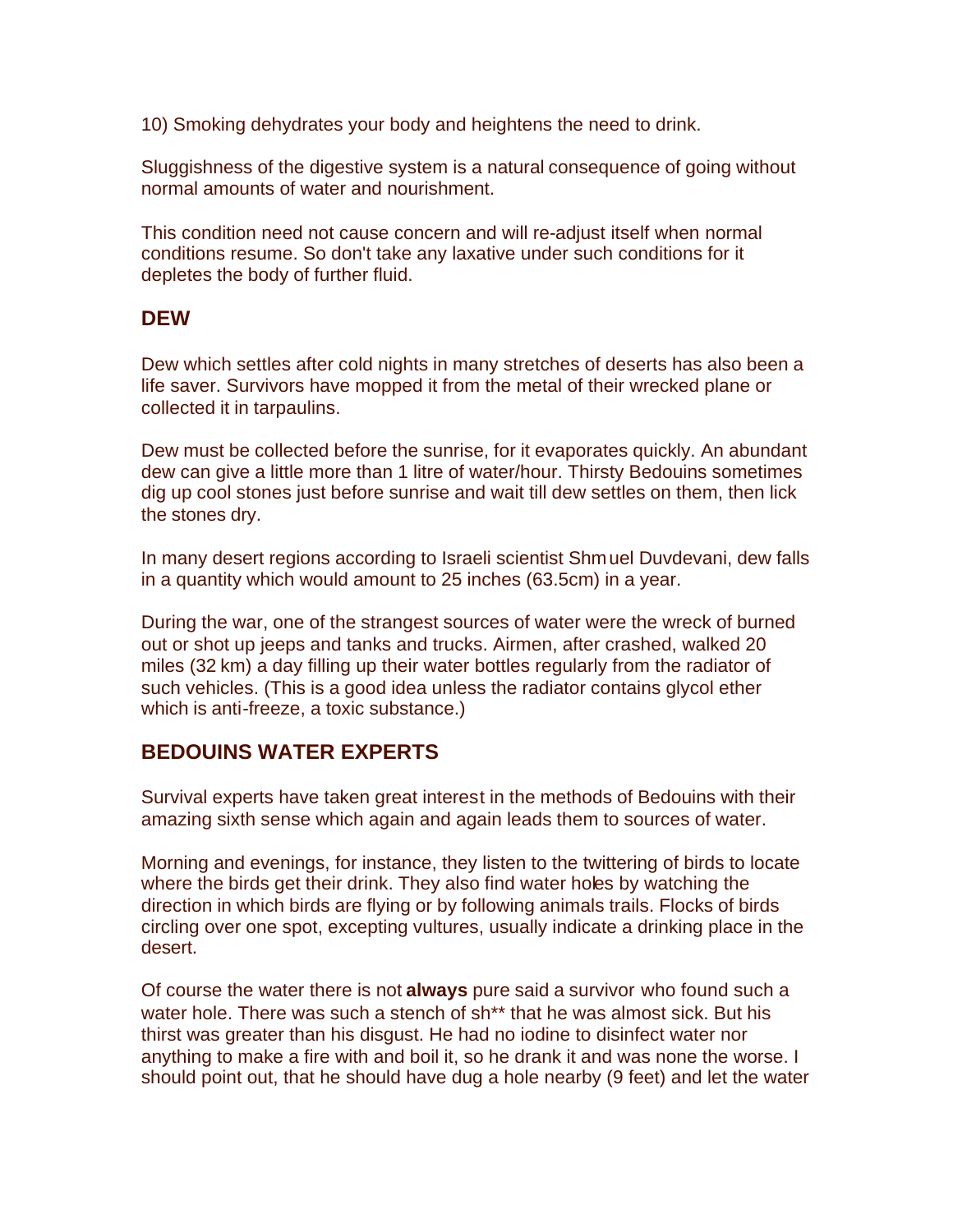10) Smoking dehydrates your body and heightens the need to drink.

Sluggishness of the digestive system is a natural consequence of going without normal amounts of water and nourishment.

This condition need not cause concern and will re-adjust itself when normal conditions resume. So don't take any laxative under such conditions for it depletes the body of further fluid.

#### **DEW**

Dew which settles after cold nights in many stretches of deserts has also been a life saver. Survivors have mopped it from the metal of their wrecked plane or collected it in tarpaulins.

Dew must be collected before the sunrise, for it evaporates quickly. An abundant dew can give a little more than 1 litre of water/hour. Thirsty Bedouins sometimes dig up cool stones just before sunrise and wait till dew settles on them, then lick the stones dry.

In many desert regions according to Israeli scientist Shmuel Duvdevani, dew falls in a quantity which would amount to 25 inches (63.5cm) in a year.

During the war, one of the strangest sources of water were the wreck of burned out or shot up jeeps and tanks and trucks. Airmen, after crashed, walked 20 miles (32 km) a day filling up their water bottles regularly from the radiator of such vehicles. (This is a good idea unless the radiator contains glycol ether which is anti-freeze, a toxic substance.)

#### **BEDOUINS WATER EXPERTS**

Survival experts have taken great interest in the methods of Bedouins with their amazing sixth sense which again and again leads them to sources of water.

Morning and evenings, for instance, they listen to the twittering of birds to locate where the birds get their drink. They also find water holes by watching the direction in which birds are flying or by following animals trails. Flocks of birds circling over one spot, excepting vultures, usually indicate a drinking place in the desert.

Of course the water there is not **always** pure said a survivor who found such a water hole. There was such a stench of sh<sup>\*\*</sup> that he was almost sick. But his thirst was greater than his disgust. He had no iodine to disinfect water nor anything to make a fire with and boil it, so he drank it and was none the worse. I should point out, that he should have dug a hole nearby (9 feet) and let the water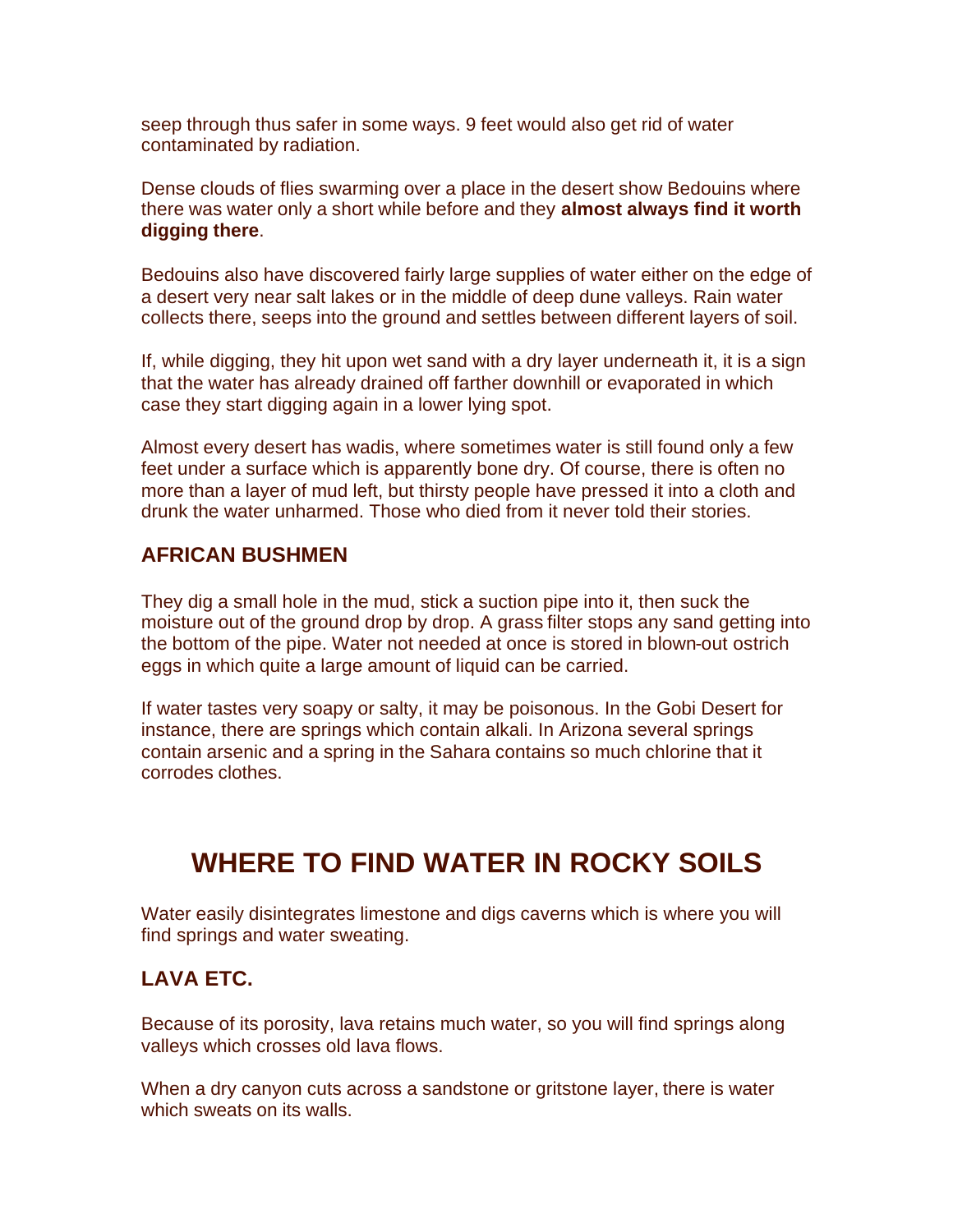seep through thus safer in some ways. 9 feet would also get rid of water contaminated by radiation.

Dense clouds of flies swarming over a place in the desert show Bedouins where there was water only a short while before and they **almost always find it worth digging there**.

Bedouins also have discovered fairly large supplies of water either on the edge of a desert very near salt lakes or in the middle of deep dune valleys. Rain water collects there, seeps into the ground and settles between different layers of soil.

If, while digging, they hit upon wet sand with a dry layer underneath it, it is a sign that the water has already drained off farther downhill or evaporated in which case they start digging again in a lower lying spot.

Almost every desert has wadis, where sometimes water is still found only a few feet under a surface which is apparently bone dry. Of course, there is often no more than a layer of mud left, but thirsty people have pressed it into a cloth and drunk the water unharmed. Those who died from it never told their stories.

#### **AFRICAN BUSHMEN**

They dig a small hole in the mud, stick a suction pipe into it, then suck the moisture out of the ground drop by drop. A grass filter stops any sand getting into the bottom of the pipe. Water not needed at once is stored in blown-out ostrich eggs in which quite a large amount of liquid can be carried.

If water tastes very soapy or salty, it may be poisonous. In the Gobi Desert for instance, there are springs which contain alkali. In Arizona several springs contain arsenic and a spring in the Sahara contains so much chlorine that it corrodes clothes.

# **WHERE TO FIND WATER IN ROCKY SOILS**

Water easily disintegrates limestone and digs caverns which is where you will find springs and water sweating.

## **LAVA ETC.**

Because of its porosity, lava retains much water, so you will find springs along valleys which crosses old lava flows.

When a dry canyon cuts across a sandstone or gritstone layer, there is water which sweats on its walls.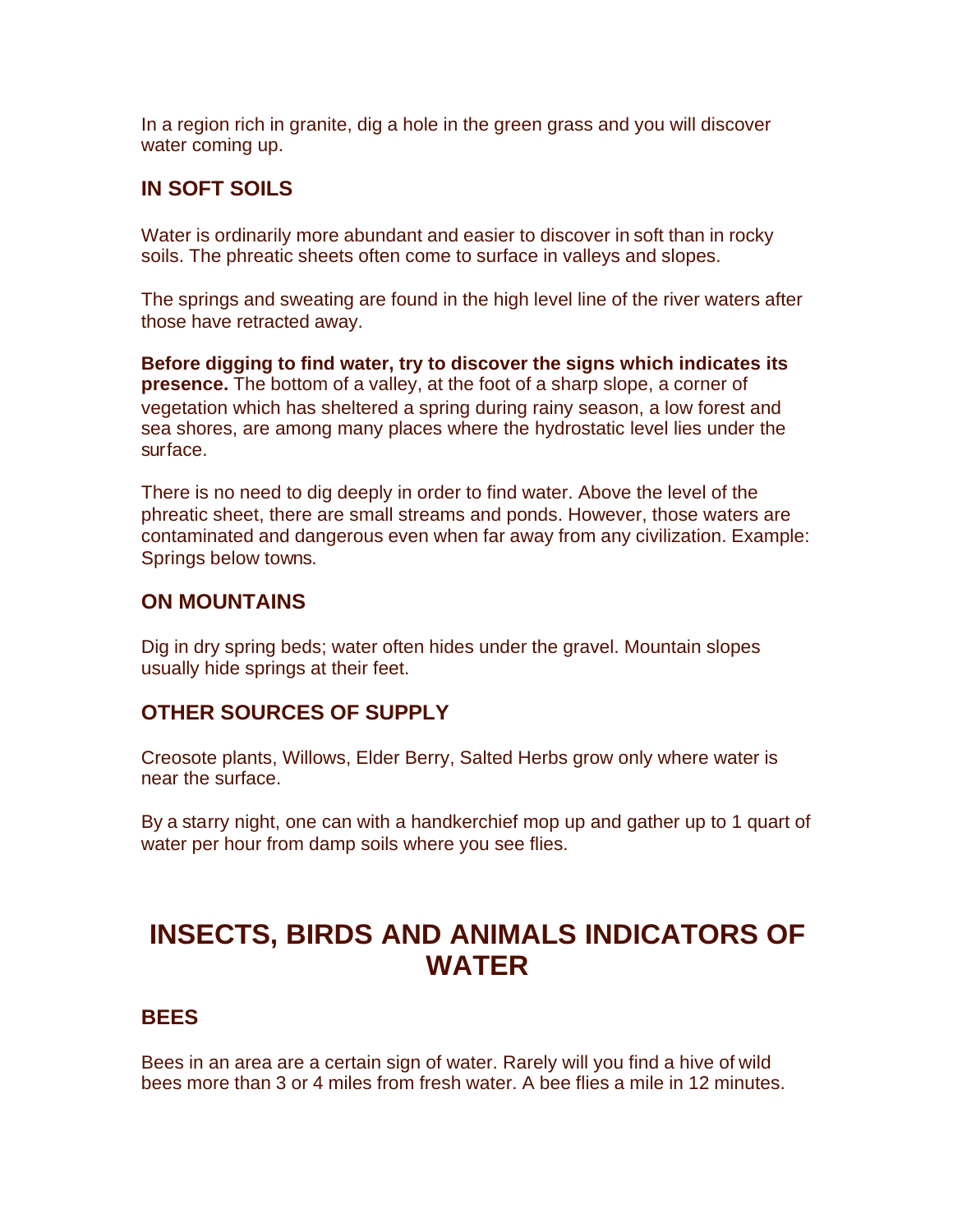In a region rich in granite, dig a hole in the green grass and you will discover water coming up.

## **IN SOFT SOILS**

Water is ordinarily more abundant and easier to discover in soft than in rocky soils. The phreatic sheets often come to surface in valleys and slopes.

The springs and sweating are found in the high level line of the river waters after those have retracted away.

**Before digging to find water, try to discover the signs which indicates its presence.** The bottom of a valley, at the foot of a sharp slope, a corner of vegetation which has sheltered a spring during rainy season, a low forest and sea shores, are among many places where the hydrostatic level lies under the surface.

There is no need to dig deeply in order to find water. Above the level of the phreatic sheet, there are small streams and ponds. However, those waters are contaminated and dangerous even when far away from any civilization. Example: Springs below towns.

#### **ON MOUNTAINS**

Dig in dry spring beds; water often hides under the gravel. Mountain slopes usually hide springs at their feet.

## **OTHER SOURCES OF SUPPLY**

Creosote plants, Willows, Elder Berry, Salted Herbs grow only where water is near the surface.

By a starry night, one can with a handkerchief mop up and gather up to 1 quart of water per hour from damp soils where you see flies.

# **INSECTS, BIRDS AND ANIMALS INDICATORS OF WATER**

## **BEES**

Bees in an area are a certain sign of water. Rarely will you find a hive of wild bees more than 3 or 4 miles from fresh water. A bee flies a mile in 12 minutes.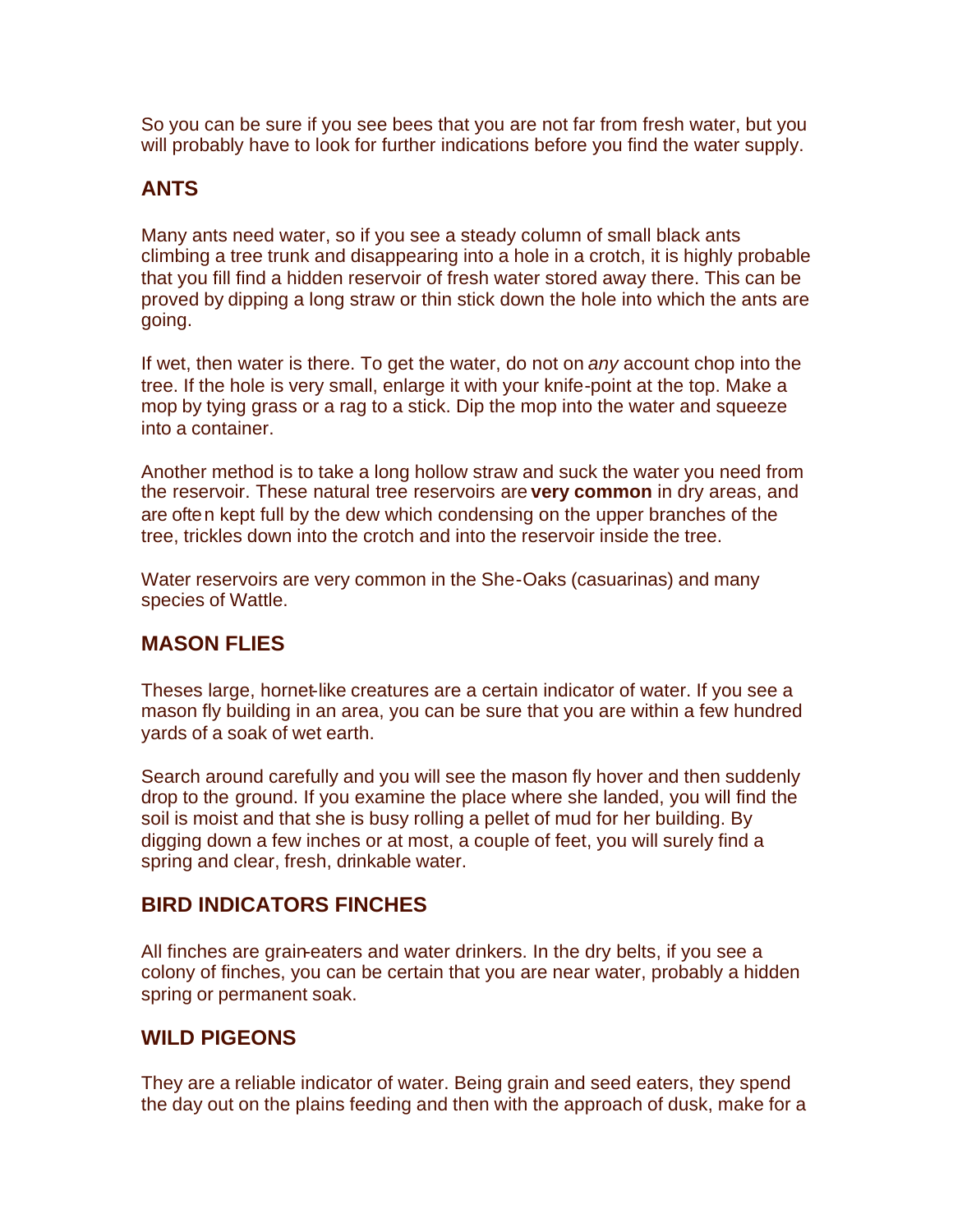So you can be sure if you see bees that you are not far from fresh water, but you will probably have to look for further indications before you find the water supply.

#### **ANTS**

Many ants need water, so if you see a steady column of small black ants climbing a tree trunk and disappearing into a hole in a crotch, it is highly probable that you fill find a hidden reservoir of fresh water stored away there. This can be proved by dipping a long straw or thin stick down the hole into which the ants are going.

If wet, then water is there. To get the water, do not on *any* account chop into the tree. If the hole is very small, enlarge it with your knife-point at the top. Make a mop by tying grass or a rag to a stick. Dip the mop into the water and squeeze into a container.

Another method is to take a long hollow straw and suck the water you need from the reservoir. These natural tree reservoirs are **very common** in dry areas, and are often kept full by the dew which condensing on the upper branches of the tree, trickles down into the crotch and into the reservoir inside the tree.

Water reservoirs are very common in the She-Oaks (casuarinas) and many species of Wattle.

## **MASON FLIES**

Theses large, hornet-like creatures are a certain indicator of water. If you see a mason fly building in an area, you can be sure that you are within a few hundred yards of a soak of wet earth.

Search around carefully and you will see the mason fly hover and then suddenly drop to the ground. If you examine the place where she landed, you will find the soil is moist and that she is busy rolling a pellet of mud for her building. By digging down a few inches or at most, a couple of feet, you will surely find a spring and clear, fresh, drinkable water.

## **BIRD INDICATORS FINCHES**

All finches are grain-eaters and water drinkers. In the dry belts, if you see a colony of finches, you can be certain that you are near water, probably a hidden spring or permanent soak.

## **WILD PIGEONS**

They are a reliable indicator of water. Being grain and seed eaters, they spend the day out on the plains feeding and then with the approach of dusk, make for a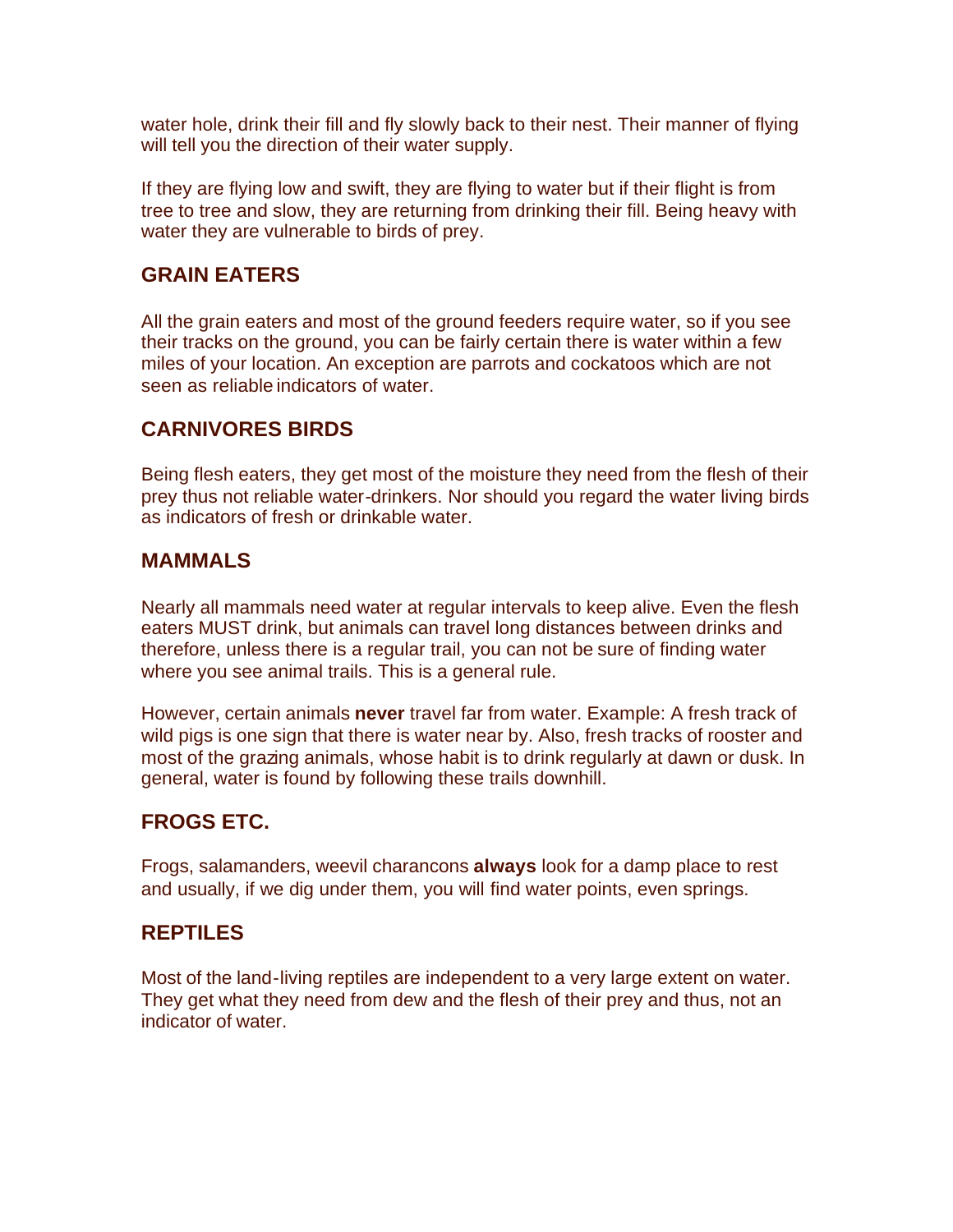water hole, drink their fill and fly slowly back to their nest. Their manner of flying will tell you the direction of their water supply.

If they are flying low and swift, they are flying to water but if their flight is from tree to tree and slow, they are returning from drinking their fill. Being heavy with water they are vulnerable to birds of prey.

## **GRAIN EATERS**

All the grain eaters and most of the ground feeders require water, so if you see their tracks on the ground, you can be fairly certain there is water within a few miles of your location. An exception are parrots and cockatoos which are not seen as reliable indicators of water.

## **CARNIVORES BIRDS**

Being flesh eaters, they get most of the moisture they need from the flesh of their prey thus not reliable water-drinkers. Nor should you regard the water living birds as indicators of fresh or drinkable water.

#### **MAMMALS**

Nearly all mammals need water at regular intervals to keep alive. Even the flesh eaters MUST drink, but animals can travel long distances between drinks and therefore, unless there is a regular trail, you can not be sure of finding water where you see animal trails. This is a general rule.

However, certain animals **never** travel far from water. Example: A fresh track of wild pigs is one sign that there is water near by. Also, fresh tracks of rooster and most of the grazing animals, whose habit is to drink regularly at dawn or dusk. In general, water is found by following these trails downhill.

## **FROGS ETC.**

Frogs, salamanders, weevil charancons **always** look for a damp place to rest and usually, if we dig under them, you will find water points, even springs.

#### **REPTILES**

Most of the land-living reptiles are independent to a very large extent on water. They get what they need from dew and the flesh of their prey and thus, not an indicator of water.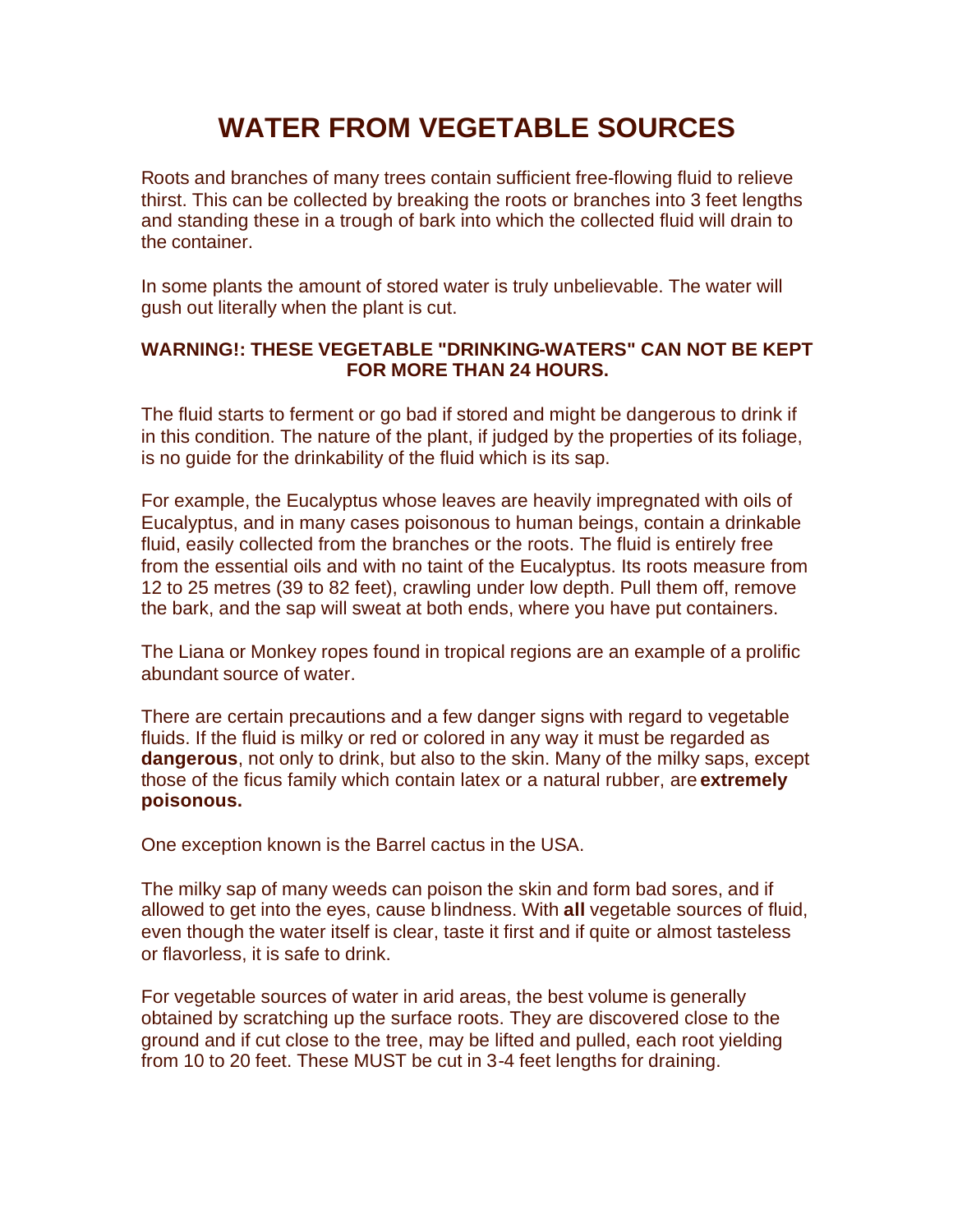# **WATER FROM VEGETABLE SOURCES**

Roots and branches of many trees contain sufficient free-flowing fluid to relieve thirst. This can be collected by breaking the roots or branches into 3 feet lengths and standing these in a trough of bark into which the collected fluid will drain to the container.

In some plants the amount of stored water is truly unbelievable. The water will gush out literally when the plant is cut.

#### **WARNING!: THESE VEGETABLE "DRINKING-WATERS" CAN NOT BE KEPT FOR MORE THAN 24 HOURS.**

The fluid starts to ferment or go bad if stored and might be dangerous to drink if in this condition. The nature of the plant, if judged by the properties of its foliage, is no guide for the drinkability of the fluid which is its sap.

For example, the Eucalyptus whose leaves are heavily impregnated with oils of Eucalyptus, and in many cases poisonous to human beings, contain a drinkable fluid, easily collected from the branches or the roots. The fluid is entirely free from the essential oils and with no taint of the Eucalyptus. Its roots measure from 12 to 25 metres (39 to 82 feet), crawling under low depth. Pull them off, remove the bark, and the sap will sweat at both ends, where you have put containers.

The Liana or Monkey ropes found in tropical regions are an example of a prolific abundant source of water.

There are certain precautions and a few danger signs with regard to vegetable fluids. If the fluid is milky or red or colored in any way it must be regarded as **dangerous**, not only to drink, but also to the skin. Many of the milky saps, except those of the ficus family which contain latex or a natural rubber, are **extremely poisonous.**

One exception known is the Barrel cactus in the USA.

The milky sap of many weeds can poison the skin and form bad sores, and if allowed to get into the eyes, cause blindness. With **all** vegetable sources of fluid, even though the water itself is clear, taste it first and if quite or almost tasteless or flavorless, it is safe to drink.

For vegetable sources of water in arid areas, the best volume is generally obtained by scratching up the surface roots. They are discovered close to the ground and if cut close to the tree, may be lifted and pulled, each root yielding from 10 to 20 feet. These MUST be cut in 3-4 feet lengths for draining.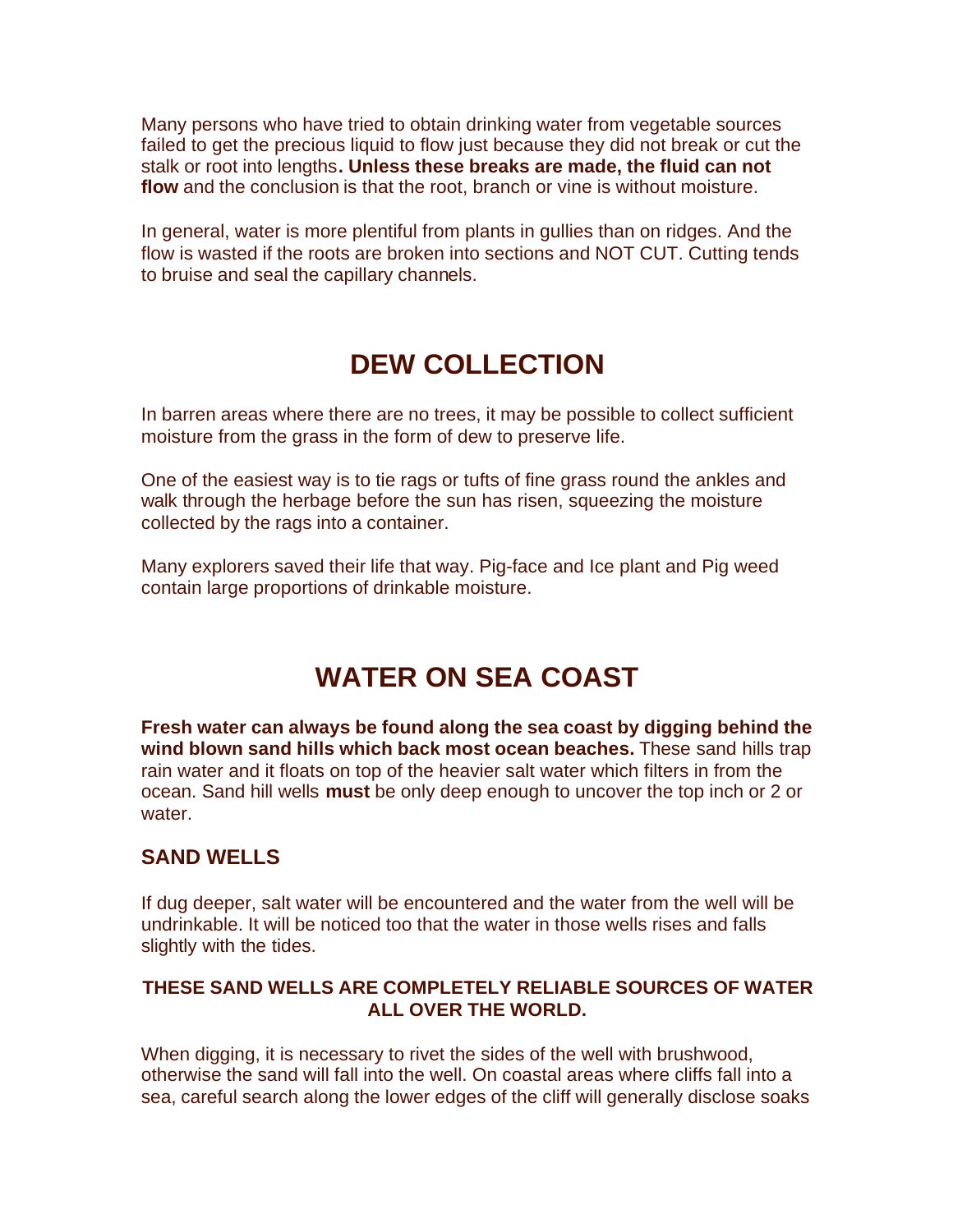Many persons who have tried to obtain drinking water from vegetable sources failed to get the precious liquid to flow just because they did not break or cut the stalk or root into lengths**. Unless these breaks are made, the fluid can not flow** and the conclusion is that the root, branch or vine is without moisture.

In general, water is more plentiful from plants in gullies than on ridges. And the flow is wasted if the roots are broken into sections and NOT CUT. Cutting tends to bruise and seal the capillary channels.

# **DEW COLLECTION**

In barren areas where there are no trees, it may be possible to collect sufficient moisture from the grass in the form of dew to preserve life.

One of the easiest way is to tie rags or tufts of fine grass round the ankles and walk through the herbage before the sun has risen, squeezing the moisture collected by the rags into a container.

Many explorers saved their life that way. Pig-face and Ice plant and Pig weed contain large proportions of drinkable moisture.

# **WATER ON SEA COAST**

**Fresh water can always be found along the sea coast by digging behind the wind blown sand hills which back most ocean beaches.** These sand hills trap rain water and it floats on top of the heavier salt water which filters in from the ocean. Sand hill wells **must** be only deep enough to uncover the top inch or 2 or water.

## **SAND WELLS**

If dug deeper, salt water will be encountered and the water from the well will be undrinkable. It will be noticed too that the water in those wells rises and falls slightly with the tides.

#### **THESE SAND WELLS ARE COMPLETELY RELIABLE SOURCES OF WATER ALL OVER THE WORLD.**

When digging, it is necessary to rivet the sides of the well with brushwood, otherwise the sand will fall into the well. On coastal areas where cliffs fall into a sea, careful search along the lower edges of the cliff will generally disclose soaks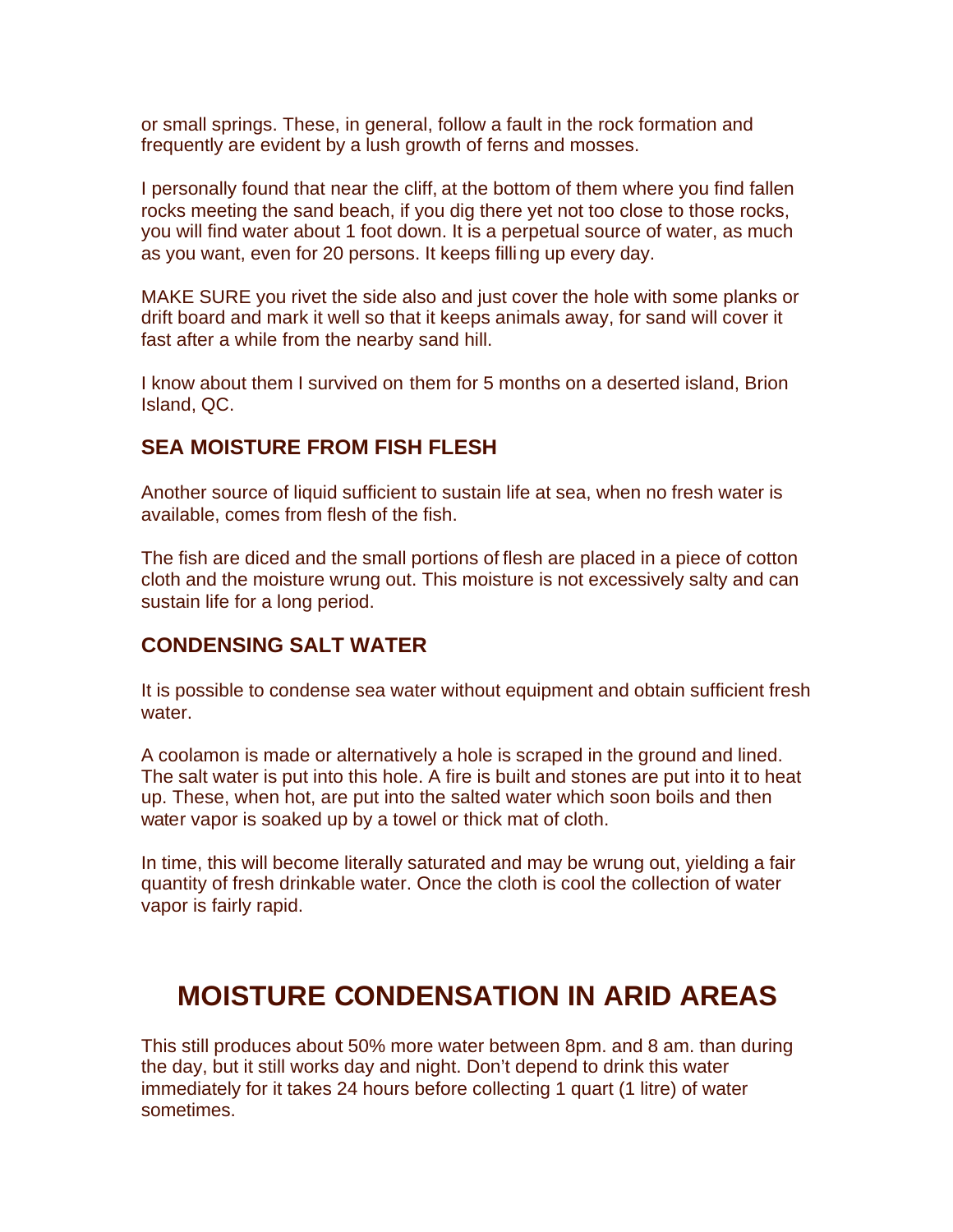or small springs. These, in general, follow a fault in the rock formation and frequently are evident by a lush growth of ferns and mosses.

I personally found that near the cliff, at the bottom of them where you find fallen rocks meeting the sand beach, if you dig there yet not too close to those rocks, you will find water about 1 foot down. It is a perpetual source of water, as much as you want, even for 20 persons. It keeps filling up every day.

MAKE SURE you rivet the side also and just cover the hole with some planks or drift board and mark it well so that it keeps animals away, for sand will cover it fast after a while from the nearby sand hill.

I know about them I survived on them for 5 months on a deserted island, Brion Island, QC.

## **SEA MOISTURE FROM FISH FLESH**

Another source of liquid sufficient to sustain life at sea, when no fresh water is available, comes from flesh of the fish.

The fish are diced and the small portions of flesh are placed in a piece of cotton cloth and the moisture wrung out. This moisture is not excessively salty and can sustain life for a long period.

#### **CONDENSING SALT WATER**

It is possible to condense sea water without equipment and obtain sufficient fresh water.

A coolamon is made or alternatively a hole is scraped in the ground and lined. The salt water is put into this hole. A fire is built and stones are put into it to heat up. These, when hot, are put into the salted water which soon boils and then water vapor is soaked up by a towel or thick mat of cloth.

In time, this will become literally saturated and may be wrung out, yielding a fair quantity of fresh drinkable water. Once the cloth is cool the collection of water vapor is fairly rapid.

# **MOISTURE CONDENSATION IN ARID AREAS**

This still produces about 50% more water between 8pm. and 8 am. than during the day, but it still works day and night. Don't depend to drink this water immediately for it takes 24 hours before collecting 1 quart (1 litre) of water sometimes.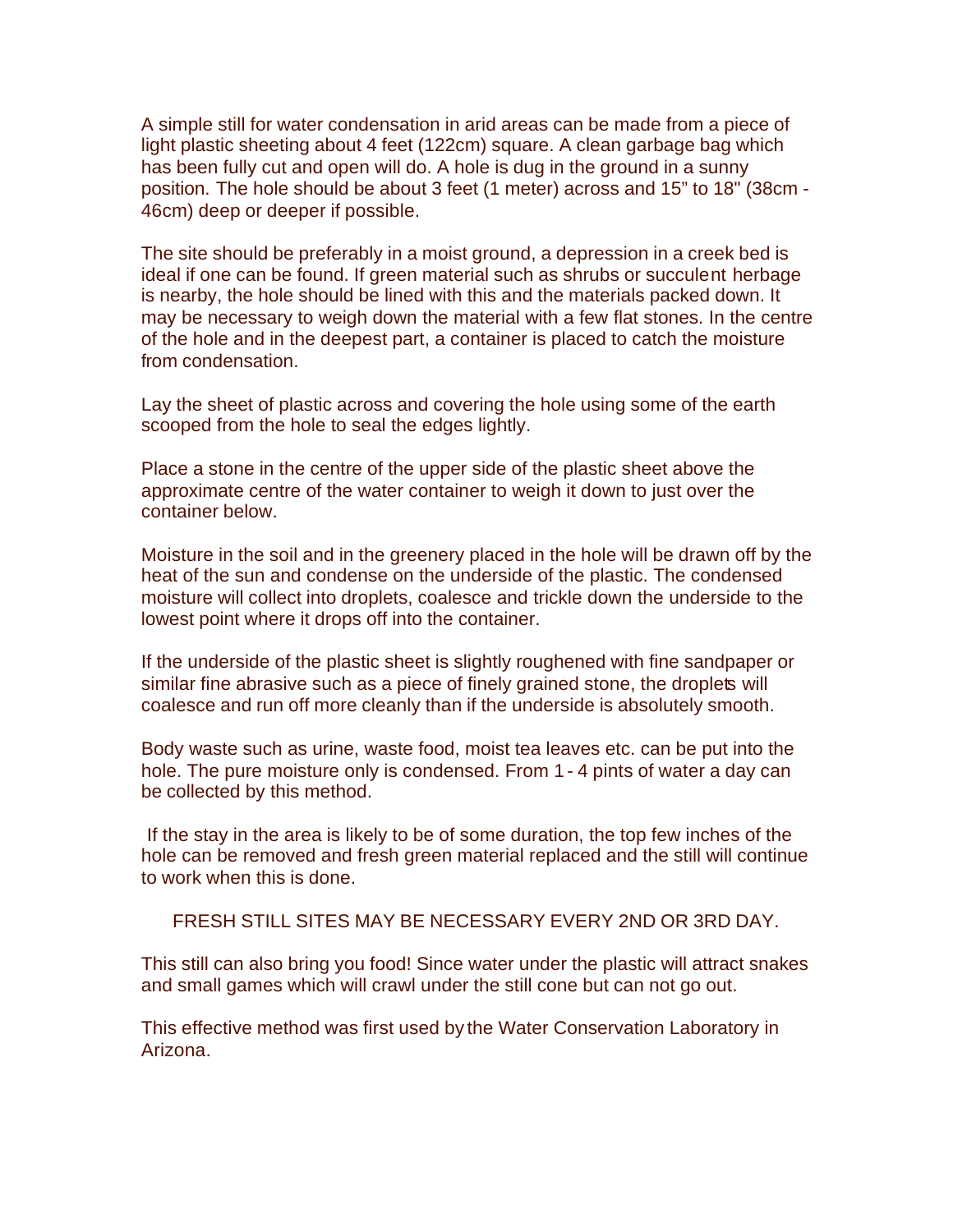A simple still for water condensation in arid areas can be made from a piece of light plastic sheeting about 4 feet (122cm) square. A clean garbage bag which has been fully cut and open will do. A hole is dug in the ground in a sunny position. The hole should be about 3 feet (1 meter) across and 15" to 18" (38cm - 46cm) deep or deeper if possible.

The site should be preferably in a moist ground, a depression in a creek bed is ideal if one can be found. If green material such as shrubs or succulent herbage is nearby, the hole should be lined with this and the materials packed down. It may be necessary to weigh down the material with a few flat stones. In the centre of the hole and in the deepest part, a container is placed to catch the moisture from condensation.

Lay the sheet of plastic across and covering the hole using some of the earth scooped from the hole to seal the edges lightly.

Place a stone in the centre of the upper side of the plastic sheet above the approximate centre of the water container to weigh it down to just over the container below.

Moisture in the soil and in the greenery placed in the hole will be drawn off by the heat of the sun and condense on the underside of the plastic. The condensed moisture will collect into droplets, coalesce and trickle down the underside to the lowest point where it drops off into the container.

If the underside of the plastic sheet is slightly roughened with fine sandpaper or similar fine abrasive such as a piece of finely grained stone, the droplets will coalesce and run off more cleanly than if the underside is absolutely smooth.

Body waste such as urine, waste food, moist tea leaves etc. can be put into the hole. The pure moisture only is condensed. From 1 - 4 pints of water a day can be collected by this method.

If the stay in the area is likely to be of some duration, the top few inches of the hole can be removed and fresh green material replaced and the still will continue to work when this is done.

#### FRESH STILL SITES MAY BE NECESSARY EVERY 2ND OR 3RD DAY.

This still can also bring you food! Since water under the plastic will attract snakes and small games which will crawl under the still cone but can not go out.

This effective method was first used by the Water Conservation Laboratory in Arizona.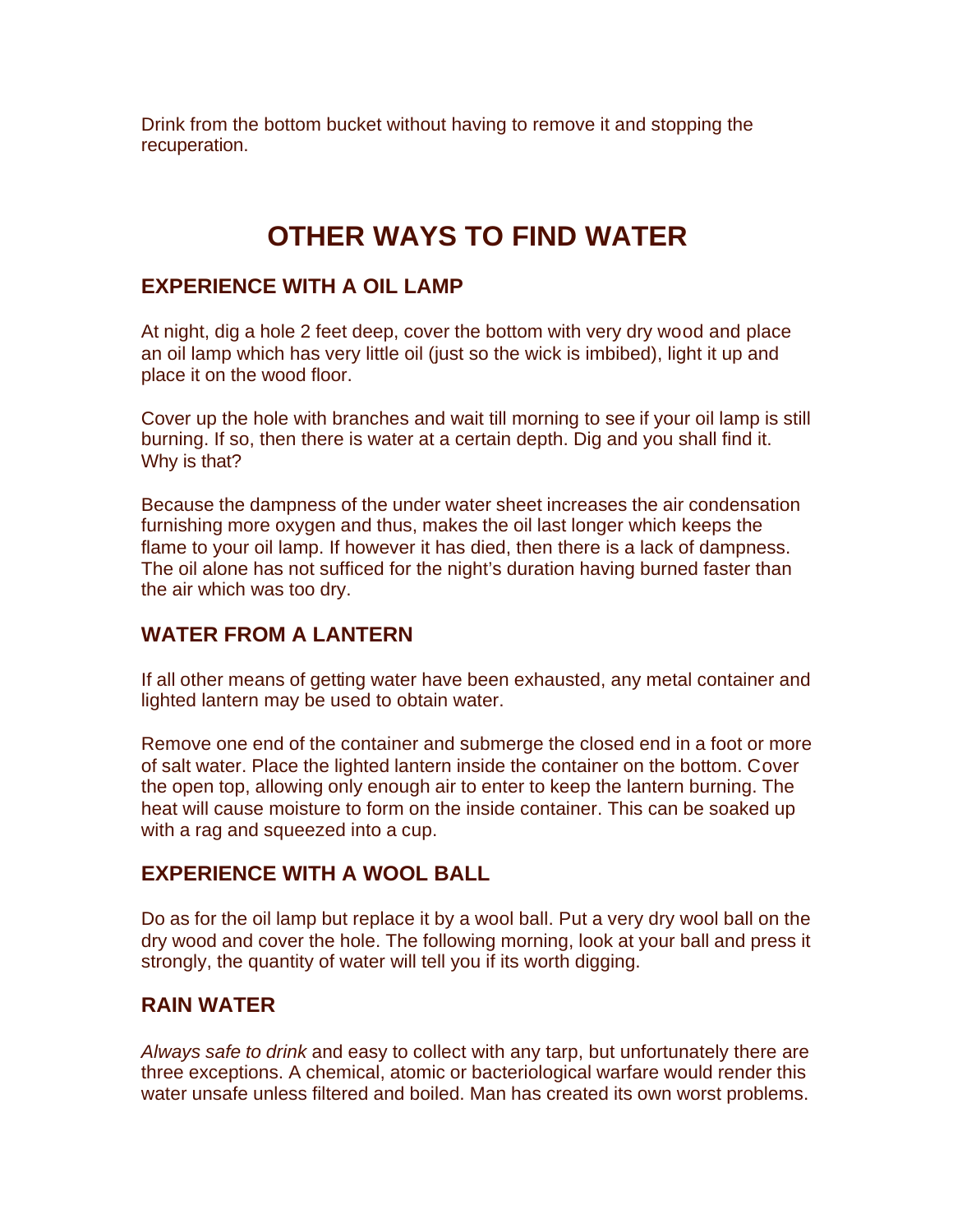Drink from the bottom bucket without having to remove it and stopping the recuperation.

# **OTHER WAYS TO FIND WATER**

#### **EXPERIENCE WITH A OIL LAMP**

At night, dig a hole 2 feet deep, cover the bottom with very dry wood and place an oil lamp which has very little oil (just so the wick is imbibed), light it up and place it on the wood floor.

Cover up the hole with branches and wait till morning to see if your oil lamp is still burning. If so, then there is water at a certain depth. Dig and you shall find it. Why is that?

Because the dampness of the under water sheet increases the air condensation furnishing more oxygen and thus, makes the oil last longer which keeps the flame to your oil lamp. If however it has died, then there is a lack of dampness. The oil alone has not sufficed for the night's duration having burned faster than the air which was too dry.

## **WATER FROM A LANTERN**

If all other means of getting water have been exhausted, any metal container and lighted lantern may be used to obtain water.

Remove one end of the container and submerge the closed end in a foot or more of salt water. Place the lighted lantern inside the container on the bottom. Cover the open top, allowing only enough air to enter to keep the lantern burning. The heat will cause moisture to form on the inside container. This can be soaked up with a rag and squeezed into a cup.

#### **EXPERIENCE WITH A WOOL BALL**

Do as for the oil lamp but replace it by a wool ball. Put a very dry wool ball on the dry wood and cover the hole. The following morning, look at your ball and press it strongly, the quantity of water will tell you if its worth digging.

#### **RAIN WATER**

*Always safe to drink* and easy to collect with any tarp, but unfortunately there are three exceptions. A chemical, atomic or bacteriological warfare would render this water unsafe unless filtered and boiled. Man has created its own worst problems.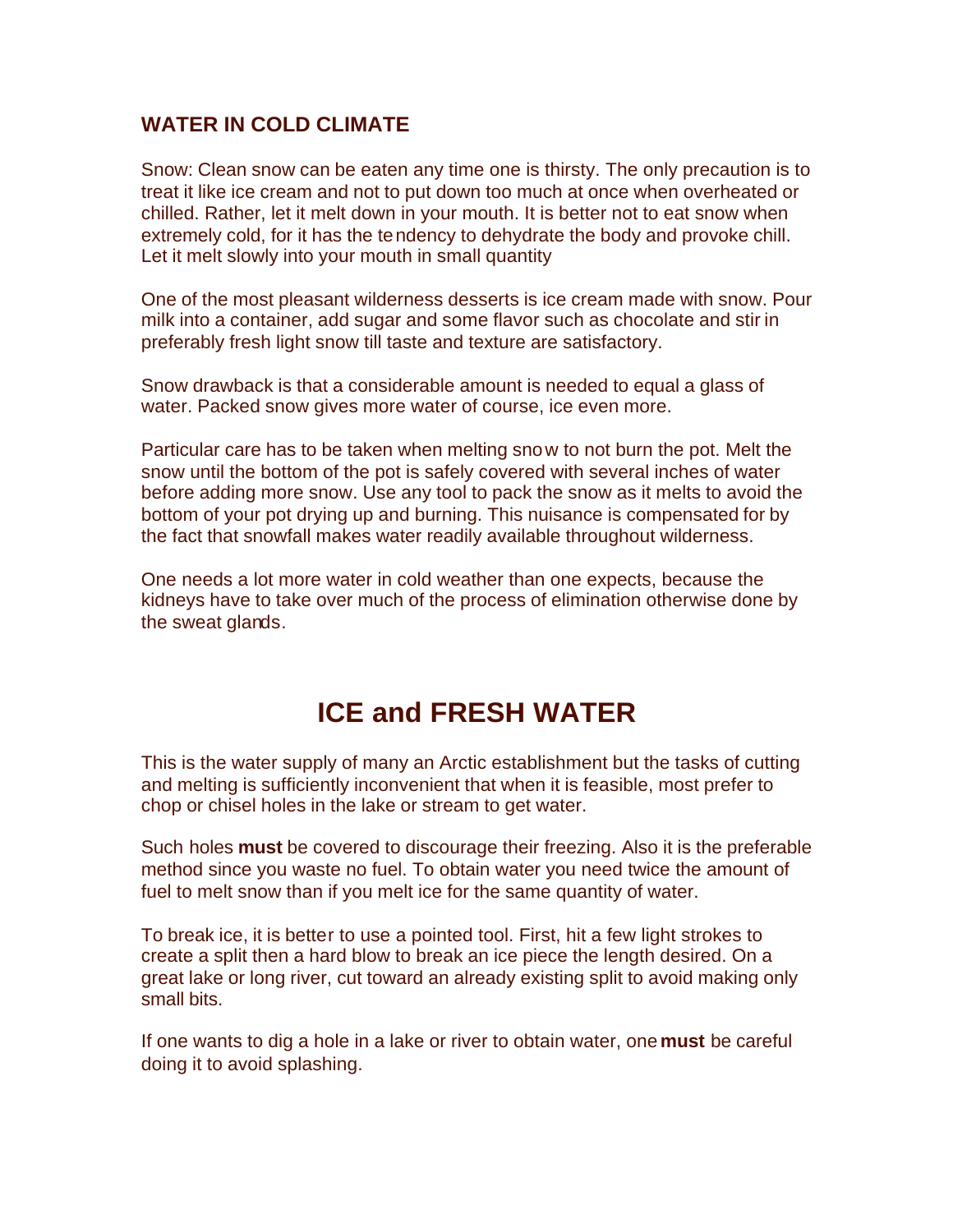#### **WATER IN COLD CLIMATE**

Snow: Clean snow can be eaten any time one is thirsty. The only precaution is to treat it like ice cream and not to put down too much at once when overheated or chilled. Rather, let it melt down in your mouth. It is better not to eat snow when extremely cold, for it has the tendency to dehydrate the body and provoke chill. Let it melt slowly into your mouth in small quantity

One of the most pleasant wilderness desserts is ice cream made with snow. Pour milk into a container, add sugar and some flavor such as chocolate and stir in preferably fresh light snow till taste and texture are satisfactory.

Snow drawback is that a considerable amount is needed to equal a glass of water. Packed snow gives more water of course, ice even more.

Particular care has to be taken when melting snow to not burn the pot. Melt the snow until the bottom of the pot is safely covered with several inches of water before adding more snow. Use any tool to pack the snow as it melts to avoid the bottom of your pot drying up and burning. This nuisance is compensated for by the fact that snowfall makes water readily available throughout wilderness.

One needs a lot more water in cold weather than one expects, because the kidneys have to take over much of the process of elimination otherwise done by the sweat glands.

# **ICE and FRESH WATER**

This is the water supply of many an Arctic establishment but the tasks of cutting and melting is sufficiently inconvenient that when it is feasible, most prefer to chop or chisel holes in the lake or stream to get water.

Such holes **must** be covered to discourage their freezing. Also it is the preferable method since you waste no fuel. To obtain water you need twice the amount of fuel to melt snow than if you melt ice for the same quantity of water.

To break ice, it is better to use a pointed tool. First, hit a few light strokes to create a split then a hard blow to break an ice piece the length desired. On a great lake or long river, cut toward an already existing split to avoid making only small bits.

If one wants to dig a hole in a lake or river to obtain water, one **must** be careful doing it to avoid splashing.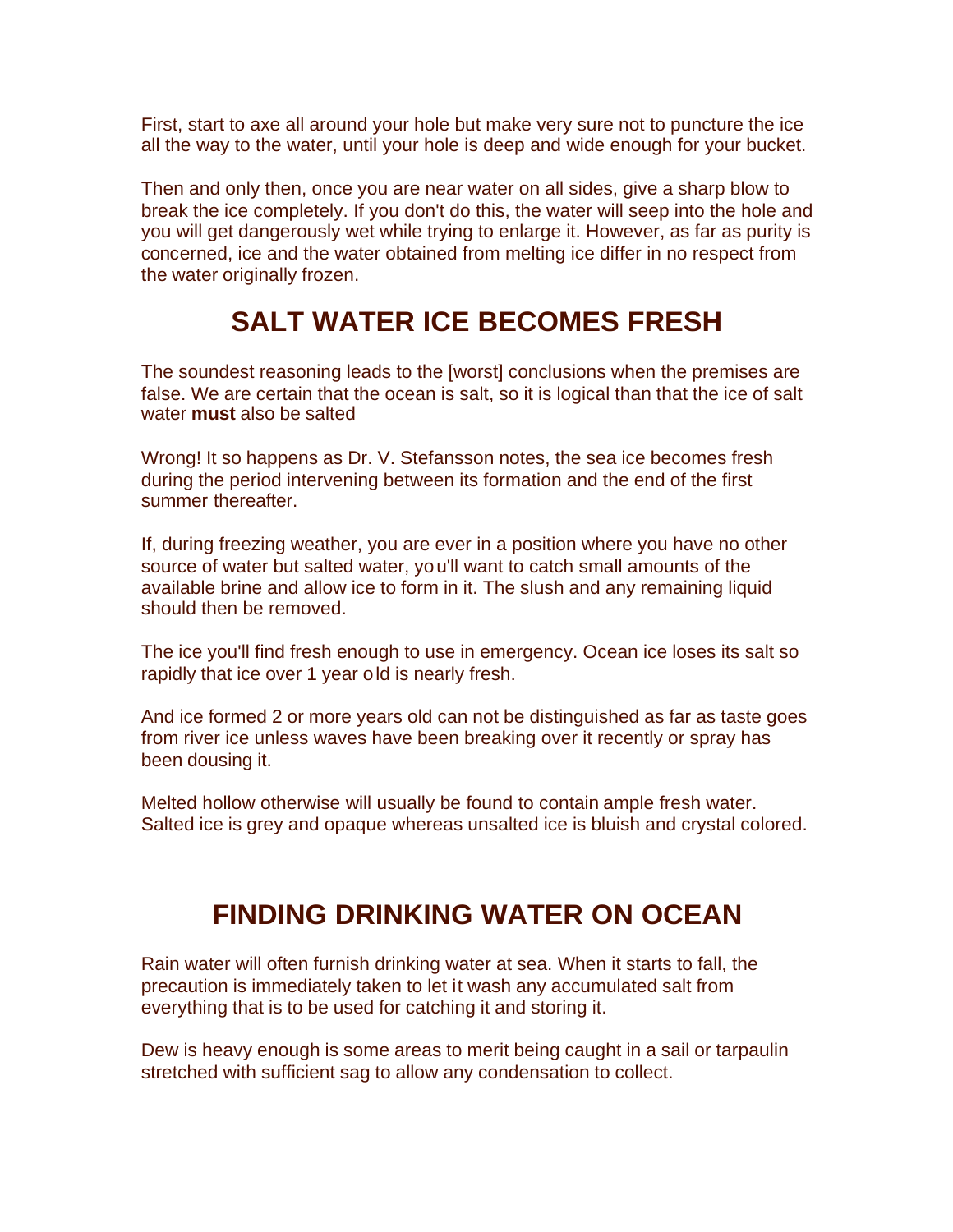First, start to axe all around your hole but make very sure not to puncture the ice all the way to the water, until your hole is deep and wide enough for your bucket.

Then and only then, once you are near water on all sides, give a sharp blow to break the ice completely. If you don't do this, the water will seep into the hole and you will get dangerously wet while trying to enlarge it. However, as far as purity is concerned, ice and the water obtained from melting ice differ in no respect from the water originally frozen.

## **SALT WATER ICE BECOMES FRESH**

The soundest reasoning leads to the [worst] conclusions when the premises are false. We are certain that the ocean is salt, so it is logical than that the ice of salt water **must** also be salted

Wrong! It so happens as Dr. V. Stefansson notes, the sea ice becomes fresh during the period intervening between its formation and the end of the first summer thereafter.

If, during freezing weather, you are ever in a position where you have no other source of water but salted water, you'll want to catch small amounts of the available brine and allow ice to form in it. The slush and any remaining liquid should then be removed.

The ice you'll find fresh enough to use in emergency. Ocean ice loses its salt so rapidly that ice over 1 year old is nearly fresh.

And ice formed 2 or more years old can not be distinguished as far as taste goes from river ice unless waves have been breaking over it recently or spray has been dousing it.

Melted hollow otherwise will usually be found to contain ample fresh water. Salted ice is grey and opaque whereas unsalted ice is bluish and crystal colored.

# **FINDING DRINKING WATER ON OCEAN**

Rain water will often furnish drinking water at sea. When it starts to fall, the precaution is immediately taken to let it wash any accumulated salt from everything that is to be used for catching it and storing it.

Dew is heavy enough is some areas to merit being caught in a sail or tarpaulin stretched with sufficient sag to allow any condensation to collect.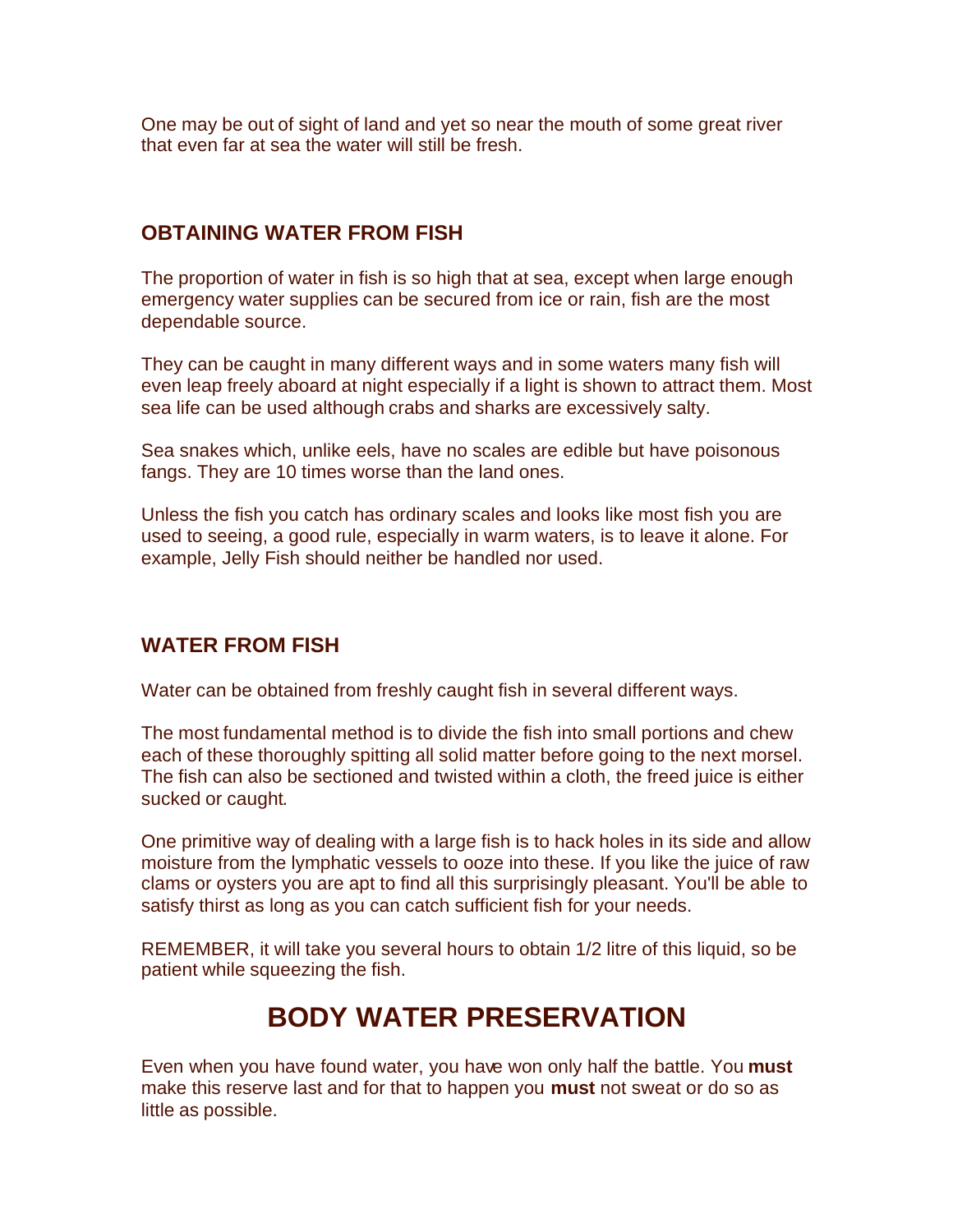One may be out of sight of land and yet so near the mouth of some great river that even far at sea the water will still be fresh.

#### **OBTAINING WATER FROM FISH**

The proportion of water in fish is so high that at sea, except when large enough emergency water supplies can be secured from ice or rain, fish are the most dependable source.

They can be caught in many different ways and in some waters many fish will even leap freely aboard at night especially if a light is shown to attract them. Most sea life can be used although crabs and sharks are excessively salty.

Sea snakes which, unlike eels, have no scales are edible but have poisonous fangs. They are 10 times worse than the land ones.

Unless the fish you catch has ordinary scales and looks like most fish you are used to seeing, a good rule, especially in warm waters, is to leave it alone. For example, Jelly Fish should neither be handled nor used.

## **WATER FROM FISH**

Water can be obtained from freshly caught fish in several different ways.

The most fundamental method is to divide the fish into small portions and chew each of these thoroughly spitting all solid matter before going to the next morsel. The fish can also be sectioned and twisted within a cloth, the freed juice is either sucked or caught.

One primitive way of dealing with a large fish is to hack holes in its side and allow moisture from the lymphatic vessels to ooze into these. If you like the juice of raw clams or oysters you are apt to find all this surprisingly pleasant. You'll be able to satisfy thirst as long as you can catch sufficient fish for your needs.

REMEMBER, it will take you several hours to obtain 1/2 litre of this liquid, so be patient while squeezing the fish.

# **BODY WATER PRESERVATION**

Even when you have found water, you have won only half the battle. You **must** make this reserve last and for that to happen you **must** not sweat or do so as little as possible.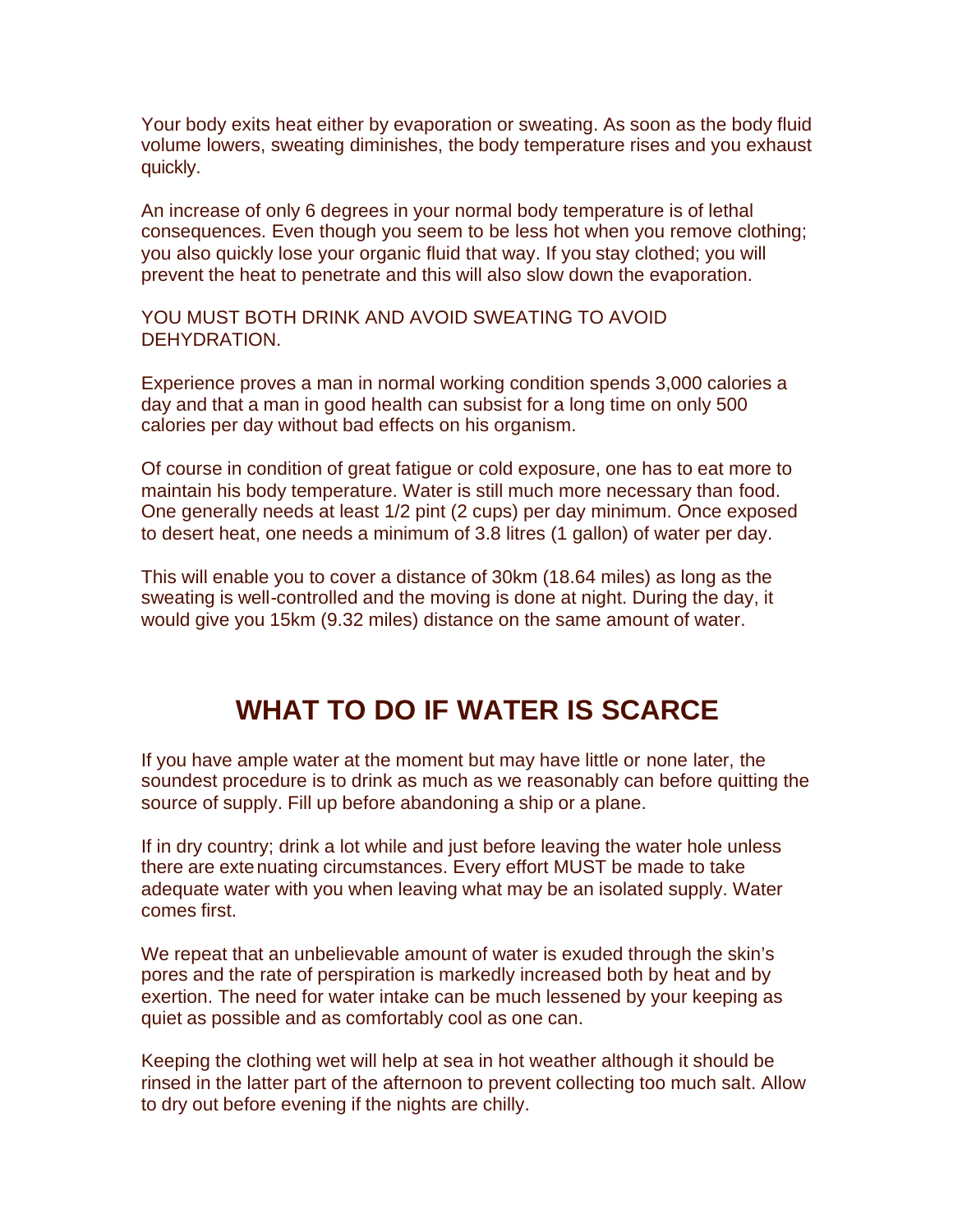Your body exits heat either by evaporation or sweating. As soon as the body fluid volume lowers, sweating diminishes, the body temperature rises and you exhaust quickly.

An increase of only 6 degrees in your normal body temperature is of lethal consequences. Even though you seem to be less hot when you remove clothing; you also quickly lose your organic fluid that way. If you stay clothed; you will prevent the heat to penetrate and this will also slow down the evaporation.

YOU MUST BOTH DRINK AND AVOID SWEATING TO AVOID DEHYDRATION.

Experience proves a man in normal working condition spends 3,000 calories a day and that a man in good health can subsist for a long time on only 500 calories per day without bad effects on his organism.

Of course in condition of great fatigue or cold exposure, one has to eat more to maintain his body temperature. Water is still much more necessary than food. One generally needs at least 1/2 pint (2 cups) per day minimum. Once exposed to desert heat, one needs a minimum of 3.8 litres (1 gallon) of water per day.

This will enable you to cover a distance of 30km (18.64 miles) as long as the sweating is well-controlled and the moving is done at night. During the day, it would give you 15km (9.32 miles) distance on the same amount of water.

# **WHAT TO DO IF WATER IS SCARCE**

If you have ample water at the moment but may have little or none later, the soundest procedure is to drink as much as we reasonably can before quitting the source of supply. Fill up before abandoning a ship or a plane.

If in dry country; drink a lot while and just before leaving the water hole unless there are extenuating circumstances. Every effort MUST be made to take adequate water with you when leaving what may be an isolated supply. Water comes first.

We repeat that an unbelievable amount of water is exuded through the skin's pores and the rate of perspiration is markedly increased both by heat and by exertion. The need for water intake can be much lessened by your keeping as quiet as possible and as comfortably cool as one can.

Keeping the clothing wet will help at sea in hot weather although it should be rinsed in the latter part of the afternoon to prevent collecting too much salt. Allow to dry out before evening if the nights are chilly.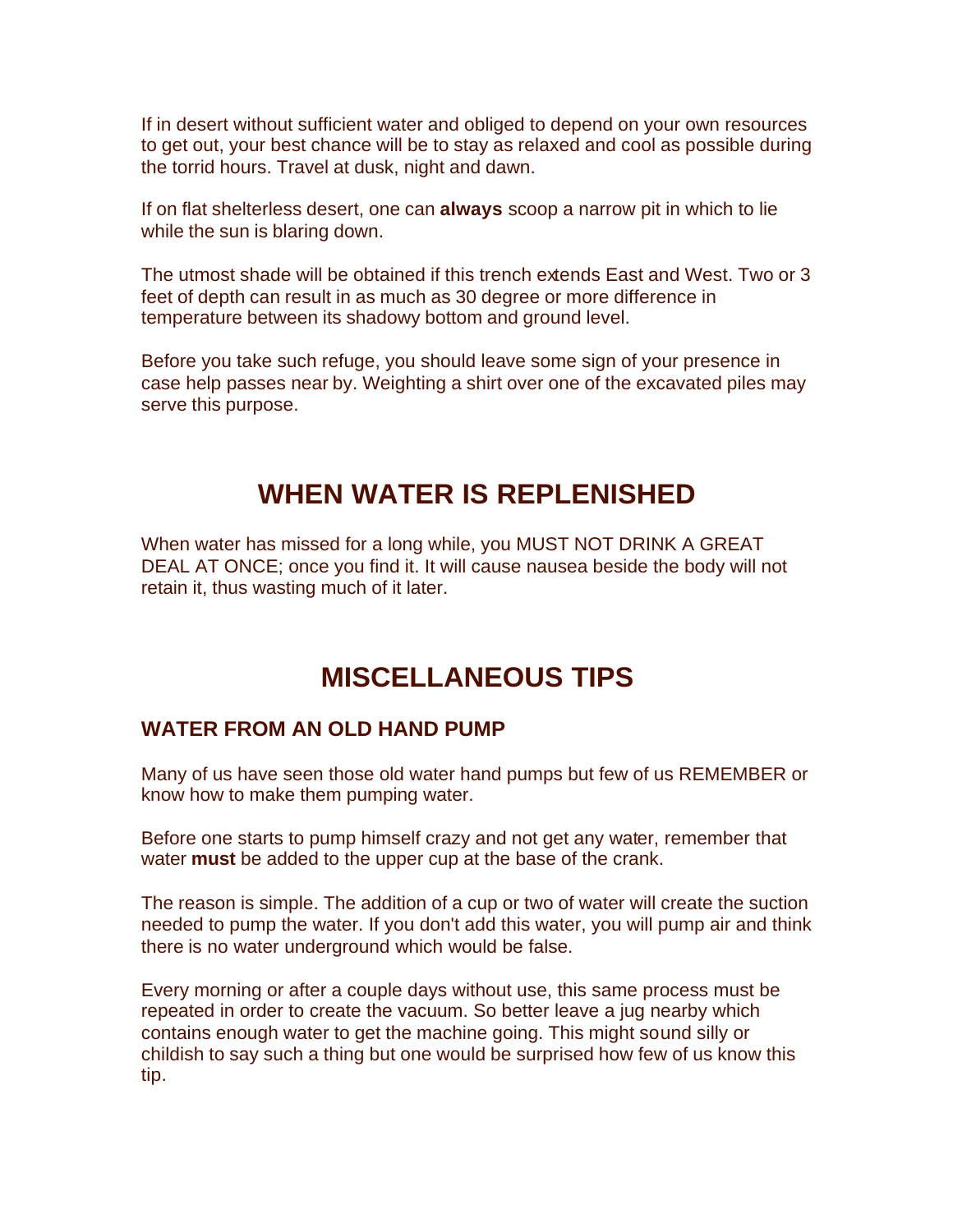If in desert without sufficient water and obliged to depend on your own resources to get out, your best chance will be to stay as relaxed and cool as possible during the torrid hours. Travel at dusk, night and dawn.

If on flat shelterless desert, one can **always** scoop a narrow pit in which to lie while the sun is blaring down.

The utmost shade will be obtained if this trench extends East and West. Two or 3 feet of depth can result in as much as 30 degree or more difference in temperature between its shadowy bottom and ground level.

Before you take such refuge, you should leave some sign of your presence in case help passes near by. Weighting a shirt over one of the excavated piles may serve this purpose.

## **WHEN WATER IS REPLENISHED**

When water has missed for a long while, you MUST NOT DRINK A GREAT DEAL AT ONCE; once you find it. It will cause nausea beside the body will not retain it, thus wasting much of it later.

## **MISCELLANEOUS TIPS**

#### **WATER FROM AN OLD HAND PUMP**

Many of us have seen those old water hand pumps but few of us REMEMBER or know how to make them pumping water.

Before one starts to pump himself crazy and not get any water, remember that water **must** be added to the upper cup at the base of the crank.

The reason is simple. The addition of a cup or two of water will create the suction needed to pump the water. If you don't add this water, you will pump air and think there is no water underground which would be false.

Every morning or after a couple days without use, this same process must be repeated in order to create the vacuum. So better leave a jug nearby which contains enough water to get the machine going. This might sound silly or childish to say such a thing but one would be surprised how few of us know this tip.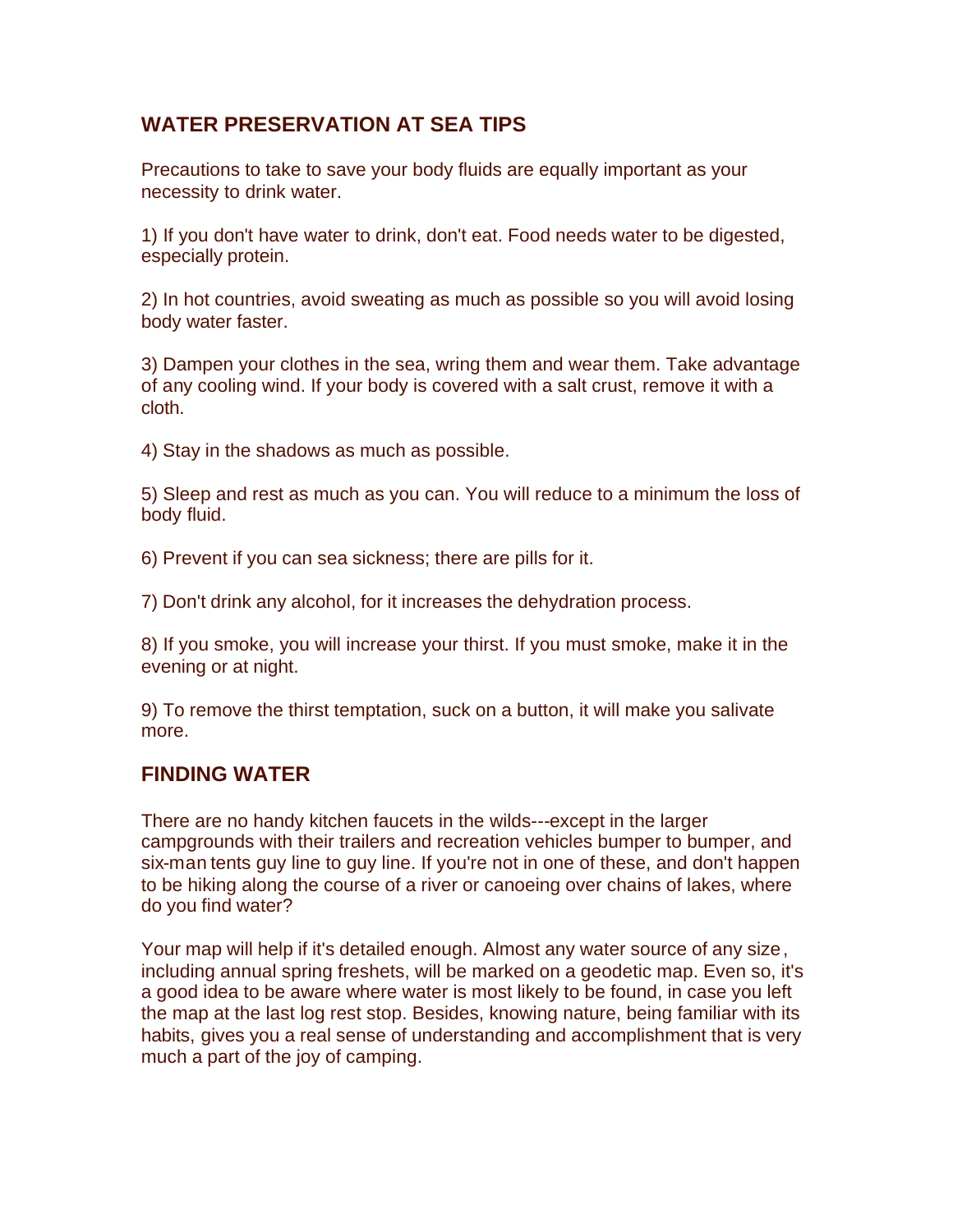## **WATER PRESERVATION AT SEA TIPS**

Precautions to take to save your body fluids are equally important as your necessity to drink water.

1) If you don't have water to drink, don't eat. Food needs water to be digested, especially protein.

2) In hot countries, avoid sweating as much as possible so you will avoid losing body water faster.

3) Dampen your clothes in the sea, wring them and wear them. Take advantage of any cooling wind. If your body is covered with a salt crust, remove it with a cloth.

4) Stay in the shadows as much as possible.

5) Sleep and rest as much as you can. You will reduce to a minimum the loss of body fluid.

6) Prevent if you can sea sickness; there are pills for it.

7) Don't drink any alcohol, for it increases the dehydration process.

8) If you smoke, you will increase your thirst. If you must smoke, make it in the evening or at night.

9) To remove the thirst temptation, suck on a button, it will make you salivate more.

#### **FINDING WATER**

There are no handy kitchen faucets in the wilds---except in the larger campgrounds with their trailers and recreation vehicles bumper to bumper, and six-man tents guy line to guy line. If you're not in one of these, and don't happen to be hiking along the course of a river or canoeing over chains of lakes, where do you find water?

Your map will help if it's detailed enough. Almost any water source of any size, including annual spring freshets, will be marked on a geodetic map. Even so, it's a good idea to be aware where water is most likely to be found, in case you left the map at the last log rest stop. Besides, knowing nature, being familiar with its habits, gives you a real sense of understanding and accomplishment that is very much a part of the joy of camping.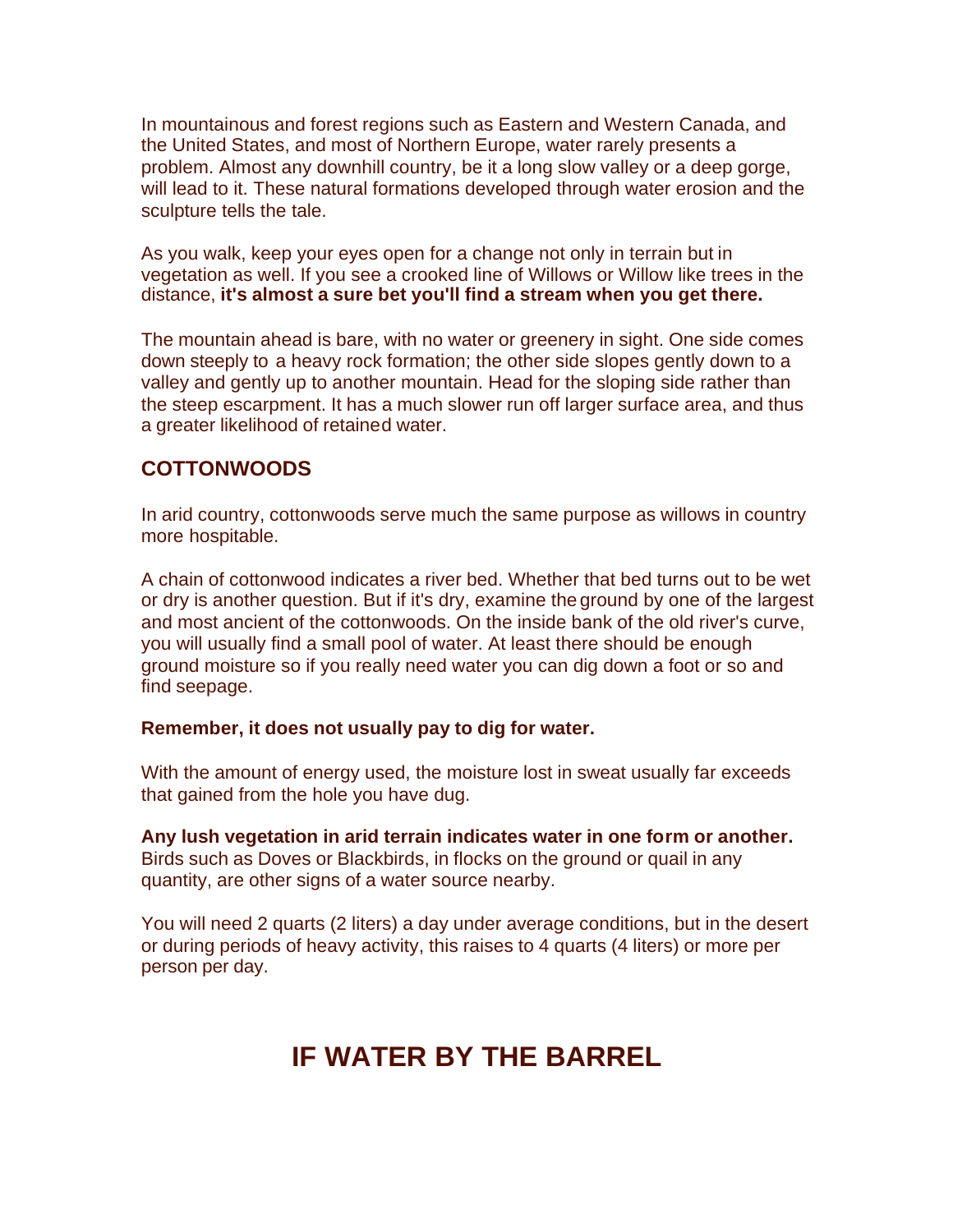In mountainous and forest regions such as Eastern and Western Canada, and the United States, and most of Northern Europe, water rarely presents a problem. Almost any downhill country, be it a long slow valley or a deep gorge, will lead to it. These natural formations developed through water erosion and the sculpture tells the tale.

As you walk, keep your eyes open for a change not only in terrain but in vegetation as well. If you see a crooked line of Willows or Willow like trees in the distance, **it's almost a sure bet you'll find a stream when you get there.**

The mountain ahead is bare, with no water or greenery in sight. One side comes down steeply to a heavy rock formation; the other side slopes gently down to a valley and gently up to another mountain. Head for the sloping side rather than the steep escarpment. It has a much slower run off larger surface area, and thus a greater likelihood of retained water.

#### **COTTONWOODS**

In arid country, cottonwoods serve much the same purpose as willows in country more hospitable.

A chain of cottonwood indicates a river bed. Whether that bed turns out to be wet or dry is another question. But if it's dry, examine the ground by one of the largest and most ancient of the cottonwoods. On the inside bank of the old river's curve, you will usually find a small pool of water. At least there should be enough ground moisture so if you really need water you can dig down a foot or so and find seepage.

#### **Remember, it does not usually pay to dig for water.**

With the amount of energy used, the moisture lost in sweat usually far exceeds that gained from the hole you have dug.

**Any lush vegetation in arid terrain indicates water in one form or another.** Birds such as Doves or Blackbirds, in flocks on the ground or quail in any quantity, are other signs of a water source nearby.

You will need 2 quarts (2 liters) a day under average conditions, but in the desert or during periods of heavy activity, this raises to 4 quarts (4 liters) or more per person per day.

## **IF WATER BY THE BARREL**